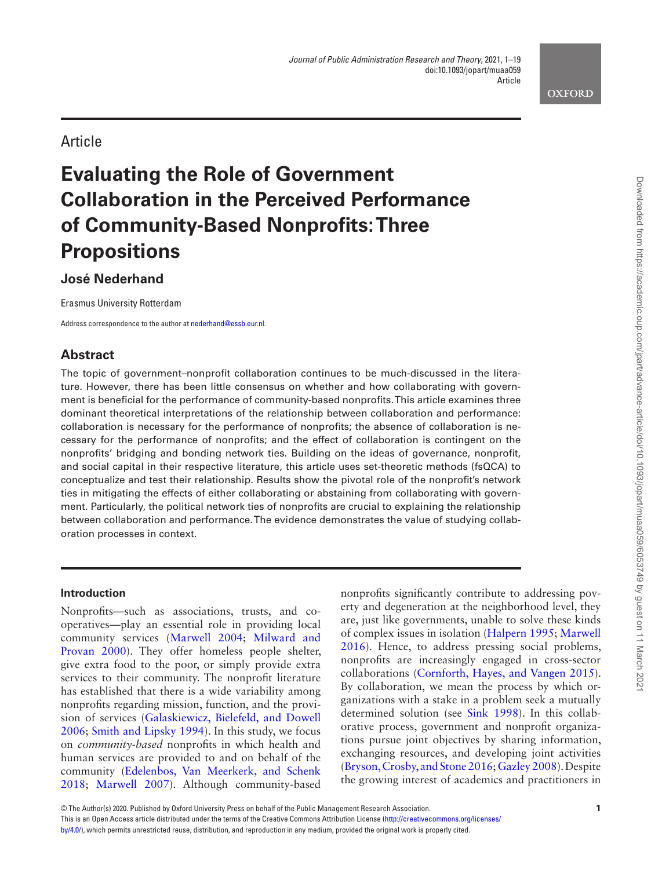

# Article

# **Evaluating the Role of Government Collaboration in the Perceived Performance of Community-Based Nonprofits: Three Propositions**

# **José Nederhand**

Erasmus University Rotterdam

Address correspondence to the author at [nederhand@essb.eur.nl.](mailto:nederhand@essb.eur.nl?subject=)

# **Abstract**

The topic of government–nonprofit collaboration continues to be much-discussed in the literature. However, there has been little consensus on whether and how collaborating with government is beneficial for the performance of community-based nonprofits. This article examines three dominant theoretical interpretations of the relationship between collaboration and performance: collaboration is necessary for the performance of nonprofits; the absence of collaboration is necessary for the performance of nonprofits; and the effect of collaboration is contingent on the nonprofits' bridging and bonding network ties. Building on the ideas of governance, nonprofit, and social capital in their respective literature, this article uses set-theoretic methods (fsQCA) to conceptualize and test their relationship. Results show the pivotal role of the nonprofit's network ties in mitigating the effects of either collaborating or abstaining from collaborating with government. Particularly, the political network ties of nonprofits are crucial to explaining the relationship between collaboration and performance. The evidence demonstrates the value of studying collaboration processes in context.

# **Introduction**

Nonprofits—such as associations, trusts, and cooperatives—play an essential role in providing local community services ([Marwell 2004;](#page-17-0) [Milward and](#page-18-0)  [Provan 2000\)](#page-18-0). They offer homeless people shelter, give extra food to the poor, or simply provide extra services to their community. The nonprofit literature has established that there is a wide variability among nonprofits regarding mission, function, and the provision of services [\(Galaskiewicz, Bielefeld, and Dowell](#page-17-1)  [2006;](#page-17-1) [Smith and Lipsky 1994\)](#page-18-1). In this study, we focus on *community-based* nonprofits in which health and human services are provided to and on behalf of the community [\(Edelenbos, Van Meerkerk, and Schenk](#page-17-2)  [2018;](#page-17-2) [Marwell 2007](#page-17-3)). Although community-based

nonprofits significantly contribute to addressing poverty and degeneration at the neighborhood level, they are, just like governments, unable to solve these kinds of complex issues in isolation [\(Halpern 1995;](#page-17-4) [Marwell](#page-17-5)  [2016\)](#page-17-5). Hence, to address pressing social problems, nonprofits are increasingly engaged in cross-sector collaborations [\(Cornforth, Hayes, and Vangen 2015\)](#page-17-6). By collaboration, we mean the process by which organizations with a stake in a problem seek a mutually determined solution (see [Sink 1998\)](#page-18-2). In this collaborative process, government and nonprofit organizations pursue joint objectives by sharing information, exchanging resources, and developing joint activities ([Bryson, Crosby, and Stone 2016;](#page-17-7) [Gazley 2008](#page-17-8)). Despite the growing interest of academics and practitioners in

This is an Open Access article distributed under the terms of the Creative Commons Attribution License [\(http://creativecommons.org/licenses/](http://creativecommons.org/licenses/by/4.0/)

[by/4.0/\)](http://creativecommons.org/licenses/by/4.0/), which permits unrestricted reuse, distribution, and reproduction in any medium, provided the original work is properly cited.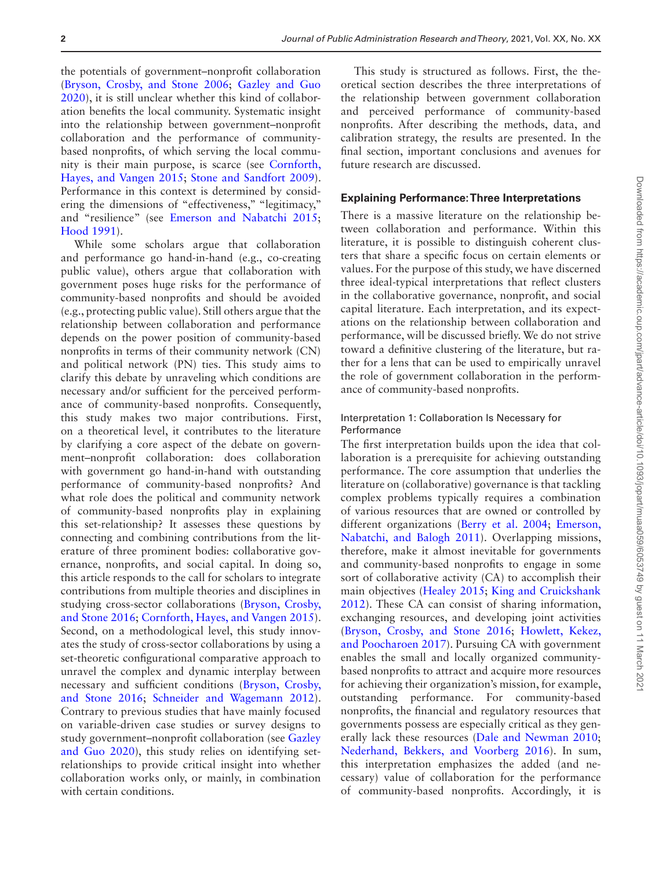the potentials of government–nonprofit collaboration ([Bryson, Crosby, and Stone 2006;](#page-17-9) [Gazley and Guo](#page-17-10)  [2020\)](#page-17-10), it is still unclear whether this kind of collaboration benefits the local community. Systematic insight into the relationship between government–nonprofit collaboration and the performance of communitybased nonprofits, of which serving the local community is their main purpose, is scarce (see [Cornforth,](#page-17-6)  [Hayes, and Vangen 2015](#page-17-6); [Stone and Sandfort 2009\)](#page-18-3). Performance in this context is determined by considering the dimensions of "effectiveness," "legitimacy," and "resilience" (see [Emerson and Nabatchi 2015;](#page-17-11) [Hood 1991\)](#page-17-12).

While some scholars argue that collaboration and performance go hand-in-hand (e.g., co-creating public value), others argue that collaboration with government poses huge risks for the performance of community-based nonprofits and should be avoided (e.g., protecting public value). Still others argue that the relationship between collaboration and performance depends on the power position of community-based nonprofits in terms of their community network (CN) and political network (PN) ties. This study aims to clarify this debate by unraveling which conditions are necessary and/or sufficient for the perceived performance of community-based nonprofits. Consequently, this study makes two major contributions. First, on a theoretical level, it contributes to the literature by clarifying a core aspect of the debate on government–nonprofit collaboration: does collaboration with government go hand-in-hand with outstanding performance of community-based nonprofits? And what role does the political and community network of community-based nonprofits play in explaining this set-relationship? It assesses these questions by connecting and combining contributions from the literature of three prominent bodies: collaborative governance, nonprofits, and social capital. In doing so, this article responds to the call for scholars to integrate contributions from multiple theories and disciplines in studying cross-sector collaborations [\(Bryson, Crosby,](#page-17-7)  [and Stone 2016](#page-17-7); [Cornforth, Hayes, and Vangen 2015\)](#page-17-6). Second, on a methodological level, this study innovates the study of cross-sector collaborations by using a set-theoretic configurational comparative approach to unravel the complex and dynamic interplay between necessary and sufficient conditions ([Bryson, Crosby,](#page-17-7)  [and Stone 2016;](#page-17-7) [Schneider and Wagemann 2012\)](#page-18-4). Contrary to previous studies that have mainly focused on variable-driven case studies or survey designs to study government–nonprofit collaboration (see [Gazley](#page-17-10)  [and Guo 2020](#page-17-10)), this study relies on identifying setrelationships to provide critical insight into whether collaboration works only, or mainly, in combination with certain conditions.

This study is structured as follows. First, the theoretical section describes the three interpretations of the relationship between government collaboration and perceived performance of community-based nonprofits. After describing the methods, data, and calibration strategy, the results are presented. In the final section, important conclusions and avenues for future research are discussed.

#### **Explaining Performance: Three Interpretations**

There is a massive literature on the relationship between collaboration and performance. Within this literature, it is possible to distinguish coherent clusters that share a specific focus on certain elements or values. For the purpose of this study, we have discerned three ideal-typical interpretations that reflect clusters in the collaborative governance, nonprofit, and social capital literature. Each interpretation, and its expectations on the relationship between collaboration and performance, will be discussed briefly. We do not strive toward a definitive clustering of the literature, but rather for a lens that can be used to empirically unravel the role of government collaboration in the performance of community-based nonprofits.

# Interpretation 1: Collaboration Is Necessary for **Performance**

The first interpretation builds upon the idea that collaboration is a prerequisite for achieving outstanding performance. The core assumption that underlies the literature on (collaborative) governance is that tackling complex problems typically requires a combination of various resources that are owned or controlled by different organizations (Berry et al. 2004; Emerson, [Nabatchi, and Balogh 2011](#page-17-14)). Overlapping missions, therefore, make it almost inevitable for governments and community-based nonprofits to engage in some sort of collaborative activity (CA) to accomplish their main objectives ([Healey 2015](#page-17-15); [King and Cruickshank](#page-17-16)  [2012\)](#page-17-16). These CA can consist of sharing information, exchanging resources, and developing joint activities ([Bryson, Crosby, and Stone 2016](#page-17-7); [Howlett, Kekez,](#page-17-17)  [and Poocharoen 2017\)](#page-17-17). Pursuing CA with government enables the small and locally organized communitybased nonprofits to attract and acquire more resources for achieving their organization's mission, for example, outstanding performance. For community-based nonprofits, the financial and regulatory resources that governments possess are especially critical as they generally lack these resources ([Dale and Newman 2010;](#page-17-18) [Nederhand, Bekkers, and Voorberg 2016\)](#page-18-5). In sum, this interpretation emphasizes the added (and necessary) value of collaboration for the performance of community-based nonprofits. Accordingly, it is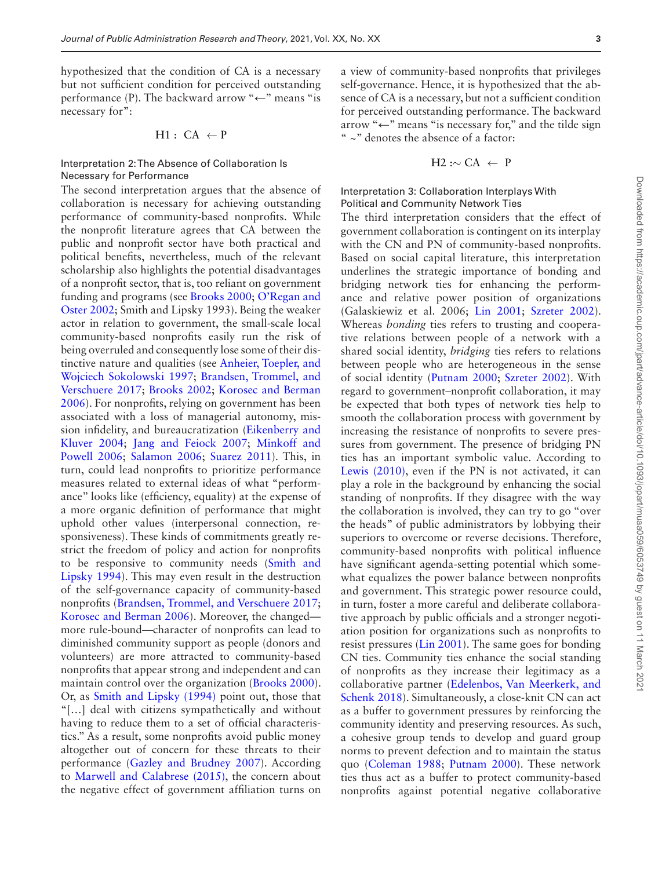hypothesized that the condition of CA is a necessary but not sufficient condition for perceived outstanding performance (P). The backward arrow " $\leftarrow$ " means "is necessary for":

$$
H1: CA \leftarrow P
$$

#### Interpretation 2: The Absence of Collaboration Is Necessary for Performance

The second interpretation argues that the absence of collaboration is necessary for achieving outstanding performance of community-based nonprofits. While the nonprofit literature agrees that CA between the public and nonprofit sector have both practical and political benefits, nevertheless, much of the relevant scholarship also highlights the potential disadvantages of a nonprofit sector, that is, too reliant on government funding and programs (see [Brooks 2000](#page-17-19); [O'Regan and](#page-18-6)  [Oster 2002](#page-18-6); Smith and Lipsky 1993). Being the weaker actor in relation to government, the small-scale local community-based nonprofits easily run the risk of being overruled and consequently lose some of their distinctive nature and qualities (see [Anheier, Toepler, and](#page-17-20)  [Wojciech Sokolowski 1997](#page-17-20); [Brandsen, Trommel, and](#page-17-21)  [Verschuere 2017;](#page-17-21) [Brooks 2002](#page-17-22); [Korosec and Berman](#page-17-23)  [2006\)](#page-17-23). For nonprofits, relying on government has been associated with a loss of managerial autonomy, mission infidelity, and bureaucratization ([Eikenberry and](#page-17-24)  [Kluver 2004](#page-17-24); [Jang and Feiock 2007;](#page-17-25) [Minkoff and](#page-18-7)  [Powell 2006](#page-18-7); [Salamon 2006;](#page-18-8) [Suarez 2011](#page-18-9)). This, in turn, could lead nonprofits to prioritize performance measures related to external ideas of what "performance" looks like (efficiency, equality) at the expense of a more organic definition of performance that might uphold other values (interpersonal connection, responsiveness). These kinds of commitments greatly restrict the freedom of policy and action for nonprofits to be responsive to community needs [\(Smith and](#page-18-1)  [Lipsky 1994](#page-18-1)). This may even result in the destruction of the self-governance capacity of community-based nonprofits [\(Brandsen, Trommel, and Verschuere 2017;](#page-17-21) [Korosec and Berman 2006\)](#page-17-23). Moreover, the changed more rule-bound—character of nonprofits can lead to diminished community support as people (donors and volunteers) are more attracted to community-based nonprofits that appear strong and independent and can maintain control over the organization [\(Brooks 2000\)](#page-17-19). Or, as [Smith and Lipsky \(1994\)](#page-18-1) point out, those that "[…] deal with citizens sympathetically and without having to reduce them to a set of official characteristics." As a result, some nonprofits avoid public money altogether out of concern for these threats to their performance ([Gazley and Brudney 2007](#page-17-26)). According to [Marwell and Calabrese \(2015\),](#page-17-27) the concern about the negative effect of government affiliation turns on

a view of community-based nonprofits that privileges self-governance. Hence, it is hypothesized that the absence of CA is a necessary, but not a sufficient condition for perceived outstanding performance. The backward arrow "←" means "is necessary for," and the tilde sign " ~" denotes the absence of a factor:

$$
H2: \sim CA \leftarrow P
$$

# Interpretation 3: Collaboration Interplays With Political and Community Network Ties

The third interpretation considers that the effect of government collaboration is contingent on its interplay with the CN and PN of community-based nonprofits. Based on social capital literature, this interpretation underlines the strategic importance of bonding and bridging network ties for enhancing the performance and relative power position of organizations (Galaskiewiz et al. 2006; [Lin 2001](#page-17-28); [Szreter 2002\)](#page-18-10). Whereas *bonding* ties refers to trusting and cooperative relations between people of a network with a shared social identity, *bridging* ties refers to relations between people who are heterogeneous in the sense of social identity ([Putnam 2000](#page-18-11); [Szreter 2002\)](#page-18-10). With regard to government–nonprofit collaboration, it may be expected that both types of network ties help to smooth the collaboration process with government by increasing the resistance of nonprofits to severe pressures from government. The presence of bridging PN ties has an important symbolic value. According to [Lewis \(2010\),](#page-17-29) even if the PN is not activated, it can play a role in the background by enhancing the social standing of nonprofits. If they disagree with the way the collaboration is involved, they can try to go "over the heads" of public administrators by lobbying their superiors to overcome or reverse decisions. Therefore, community-based nonprofits with political influence have significant agenda-setting potential which somewhat equalizes the power balance between nonprofits and government. This strategic power resource could, in turn, foster a more careful and deliberate collaborative approach by public officials and a stronger negotiation position for organizations such as nonprofits to resist pressures ([Lin 2001](#page-17-28)). The same goes for bonding CN ties. Community ties enhance the social standing of nonprofits as they increase their legitimacy as a collaborative partner [\(Edelenbos, Van Meerkerk, and](#page-17-2)  [Schenk 2018](#page-17-2)). Simultaneously, a close-knit CN can act as a buffer to government pressures by reinforcing the community identity and preserving resources. As such, a cohesive group tends to develop and guard group norms to prevent defection and to maintain the status quo [\(Coleman 1988](#page-17-30); [Putnam 2000\)](#page-18-11). These network ties thus act as a buffer to protect community-based nonprofits against potential negative collaborative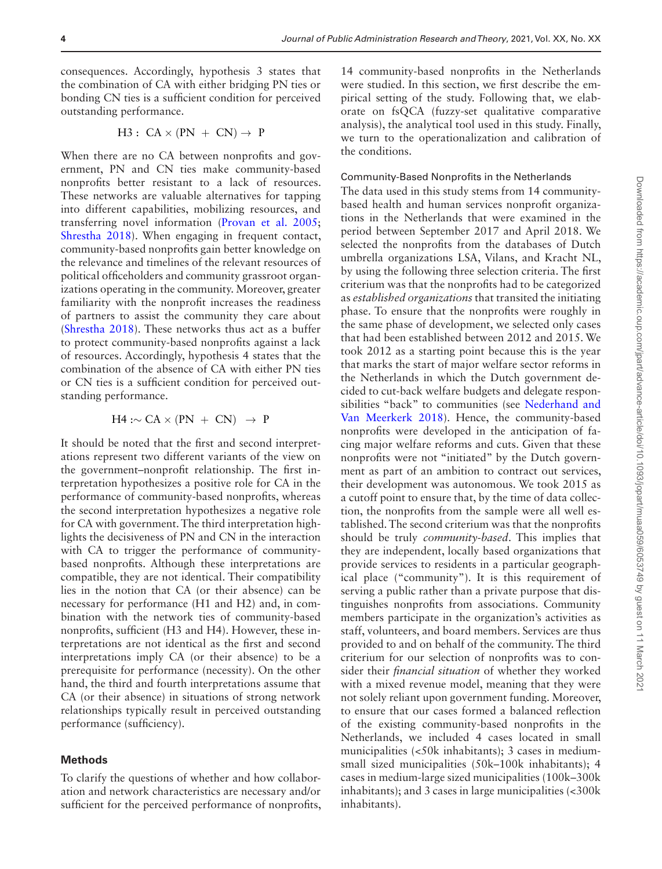consequences. Accordingly, hypothesis 3 states that the combination of CA with either bridging PN ties or bonding CN ties is a sufficient condition for perceived outstanding performance.

$$
H3: CA \times (PN + CN) \rightarrow P
$$

When there are no CA between nonprofits and government, PN and CN ties make community-based nonprofits better resistant to a lack of resources. These networks are valuable alternatives for tapping into different capabilities, mobilizing resources, and transferring novel information [\(Provan et al. 2005;](#page-18-12) [Shrestha 2018](#page-18-13)). When engaging in frequent contact, community-based nonprofits gain better knowledge on the relevance and timelines of the relevant resources of political officeholders and community grassroot organizations operating in the community. Moreover, greater familiarity with the nonprofit increases the readiness of partners to assist the community they care about ([Shrestha 2018\)](#page-18-13). These networks thus act as a buffer to protect community-based nonprofits against a lack of resources. Accordingly, hypothesis 4 states that the combination of the absence of CA with either PN ties or CN ties is a sufficient condition for perceived outstanding performance.

$$
H4: \sim CA \times (PN + CN) \rightarrow P
$$

It should be noted that the first and second interpretations represent two different variants of the view on the government–nonprofit relationship. The first interpretation hypothesizes a positive role for CA in the performance of community-based nonprofits, whereas the second interpretation hypothesizes a negative role for CA with government. The third interpretation highlights the decisiveness of PN and CN in the interaction with CA to trigger the performance of communitybased nonprofits. Although these interpretations are compatible, they are not identical. Their compatibility lies in the notion that CA (or their absence) can be necessary for performance (H1 and H2) and, in combination with the network ties of community-based nonprofits, sufficient (H3 and H4). However, these interpretations are not identical as the first and second interpretations imply CA (or their absence) to be a prerequisite for performance (necessity). On the other hand, the third and fourth interpretations assume that CA (or their absence) in situations of strong network relationships typically result in perceived outstanding performance (sufficiency).

#### **Methods**

To clarify the questions of whether and how collaboration and network characteristics are necessary and/or sufficient for the perceived performance of nonprofits,

14 community-based nonprofits in the Netherlands were studied. In this section, we first describe the empirical setting of the study. Following that, we elaborate on fsQCA (fuzzy-set qualitative comparative analysis), the analytical tool used in this study. Finally, we turn to the operationalization and calibration of the conditions.

#### Community-Based Nonprofits in the Netherlands

The data used in this study stems from 14 communitybased health and human services nonprofit organizations in the Netherlands that were examined in the period between September 2017 and April 2018. We selected the nonprofits from the databases of Dutch umbrella organizations LSA, Vilans, and Kracht NL, by using the following three selection criteria. The first criterium was that the nonprofits had to be categorized as *established organizations* that transited the initiating phase. To ensure that the nonprofits were roughly in the same phase of development, we selected only cases that had been established between 2012 and 2015. We took 2012 as a starting point because this is the year that marks the start of major welfare sector reforms in the Netherlands in which the Dutch government decided to cut-back welfare budgets and delegate responsibilities "back" to communities (see [Nederhand and](#page-18-14)  [Van Meerkerk 2018\)](#page-18-14). Hence, the community-based nonprofits were developed in the anticipation of facing major welfare reforms and cuts. Given that these nonprofits were not "initiated" by the Dutch government as part of an ambition to contract out services, their development was autonomous. We took 2015 as a cutoff point to ensure that, by the time of data collection, the nonprofits from the sample were all well established. The second criterium was that the nonprofits should be truly *community-based*. This implies that they are independent, locally based organizations that provide services to residents in a particular geographical place ("community"). It is this requirement of serving a public rather than a private purpose that distinguishes nonprofits from associations. Community members participate in the organization's activities as staff, volunteers, and board members. Services are thus provided to and on behalf of the community. The third criterium for our selection of nonprofits was to consider their *financial situation* of whether they worked with a mixed revenue model, meaning that they were not solely reliant upon government funding. Moreover, to ensure that our cases formed a balanced reflection of the existing community-based nonprofits in the Netherlands, we included 4 cases located in small municipalities (<50k inhabitants); 3 cases in mediumsmall sized municipalities (50k–100k inhabitants); 4 cases in medium-large sized municipalities (100k–300k inhabitants); and 3 cases in large municipalities (<300k inhabitants).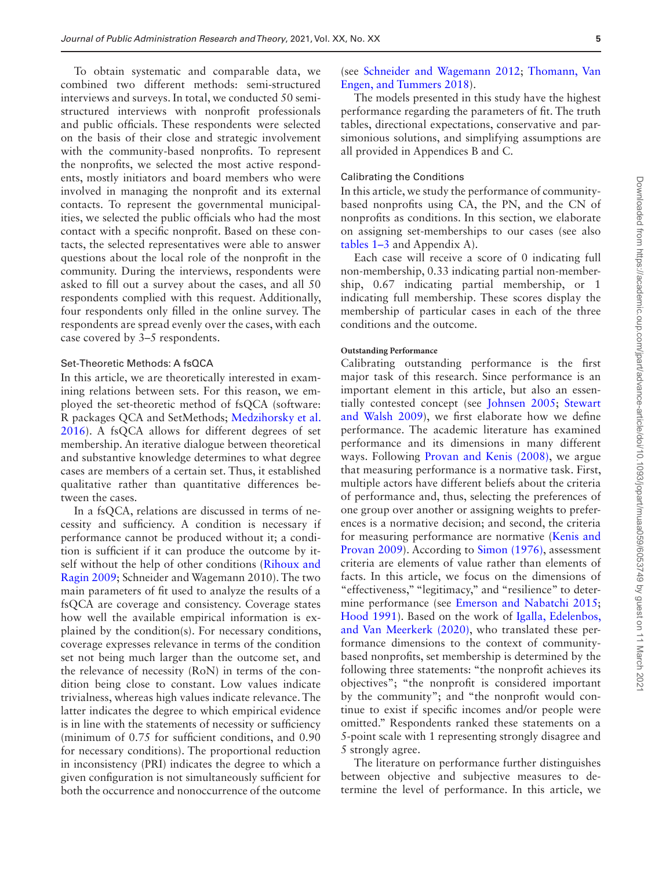To obtain systematic and comparable data, we combined two different methods: semi-structured interviews and surveys. In total, we conducted 50 semistructured interviews with nonprofit professionals and public officials. These respondents were selected on the basis of their close and strategic involvement with the community-based nonprofits. To represent the nonprofits, we selected the most active respondents, mostly initiators and board members who were involved in managing the nonprofit and its external contacts. To represent the governmental municipalities, we selected the public officials who had the most contact with a specific nonprofit. Based on these contacts, the selected representatives were able to answer questions about the local role of the nonprofit in the community. During the interviews, respondents were asked to fill out a survey about the cases, and all 50 respondents complied with this request. Additionally, four respondents only filled in the online survey. The respondents are spread evenly over the cases, with each case covered by 3–5 respondents.

#### Set-Theoretic Methods: A fsQCA

In this article, we are theoretically interested in examining relations between sets. For this reason, we employed the set-theoretic method of fsQCA (software: R packages QCA and SetMethods; [Medzihorsky et al.](#page-18-15)  [2016\)](#page-18-15). A fsQCA allows for different degrees of set membership. An iterative dialogue between theoretical and substantive knowledge determines to what degree cases are members of a certain set. Thus, it established qualitative rather than quantitative differences between the cases.

In a fsQCA, relations are discussed in terms of necessity and sufficiency. A condition is necessary if performance cannot be produced without it; a condition is sufficient if it can produce the outcome by itself without the help of other conditions [\(Rihoux and](#page-18-16)  [Ragin 2009;](#page-18-16) Schneider and Wagemann 2010). The two main parameters of fit used to analyze the results of a fsQCA are coverage and consistency. Coverage states how well the available empirical information is explained by the condition(s). For necessary conditions, coverage expresses relevance in terms of the condition set not being much larger than the outcome set, and the relevance of necessity (RoN) in terms of the condition being close to constant. Low values indicate trivialness, whereas high values indicate relevance. The latter indicates the degree to which empirical evidence is in line with the statements of necessity or sufficiency (minimum of 0.75 for sufficient conditions, and 0.90 for necessary conditions). The proportional reduction in inconsistency (PRI) indicates the degree to which a given configuration is not simultaneously sufficient for both the occurrence and nonoccurrence of the outcome

# (see [Schneider and Wagemann 2012](#page-18-4); [Thomann, Van](#page-18-17)  [Engen, and Tummers 2018](#page-18-17)).

The models presented in this study have the highest performance regarding the parameters of fit. The truth tables, directional expectations, conservative and parsimonious solutions, and simplifying assumptions are all provided in Appendices B and C.

#### Calibrating the Conditions

In this article, we study the performance of communitybased nonprofits using CA, the PN, and the CN of nonprofits as conditions. In this section, we elaborate on assigning set-memberships to our cases (see also [tables 1–3](#page-5-0) and Appendix A).

Each case will receive a score of 0 indicating full non-membership, 0.33 indicating partial non-membership, 0.67 indicating partial membership, or 1 indicating full membership. These scores display the membership of particular cases in each of the three conditions and the outcome.

# **Outstanding Performance**

Calibrating outstanding performance is the first major task of this research. Since performance is an important element in this article, but also an essentially contested concept (see [Johnsen 2005](#page-17-31); [Stewart](#page-18-18)  [and Walsh 2009\)](#page-18-18), we first elaborate how we define performance. The academic literature has examined performance and its dimensions in many different ways. Following [Provan and Kenis \(2008\),](#page-18-19) we argue that measuring performance is a normative task. First, multiple actors have different beliefs about the criteria of performance and, thus, selecting the preferences of one group over another or assigning weights to preferences is a normative decision; and second, the criteria for measuring performance are normative ([Kenis and](#page-17-32)  [Provan 2009](#page-17-32)). According to [Simon \(1976\),](#page-18-20) assessment criteria are elements of value rather than elements of facts. In this article, we focus on the dimensions of "effectiveness," "legitimacy," and "resilience" to determine performance (see [Emerson and Nabatchi 2015;](#page-17-11) [Hood 1991](#page-17-12)). Based on the work of [Igalla, Edelenbos,](#page-17-33)  [and Van Meerkerk \(2020\)](#page-17-33), who translated these performance dimensions to the context of communitybased nonprofits, set membership is determined by the following three statements: "the nonprofit achieves its objectives"; "the nonprofit is considered important by the community"; and "the nonprofit would continue to exist if specific incomes and/or people were omitted." Respondents ranked these statements on a 5-point scale with 1 representing strongly disagree and 5 strongly agree.

The literature on performance further distinguishes between objective and subjective measures to determine the level of performance. In this article, we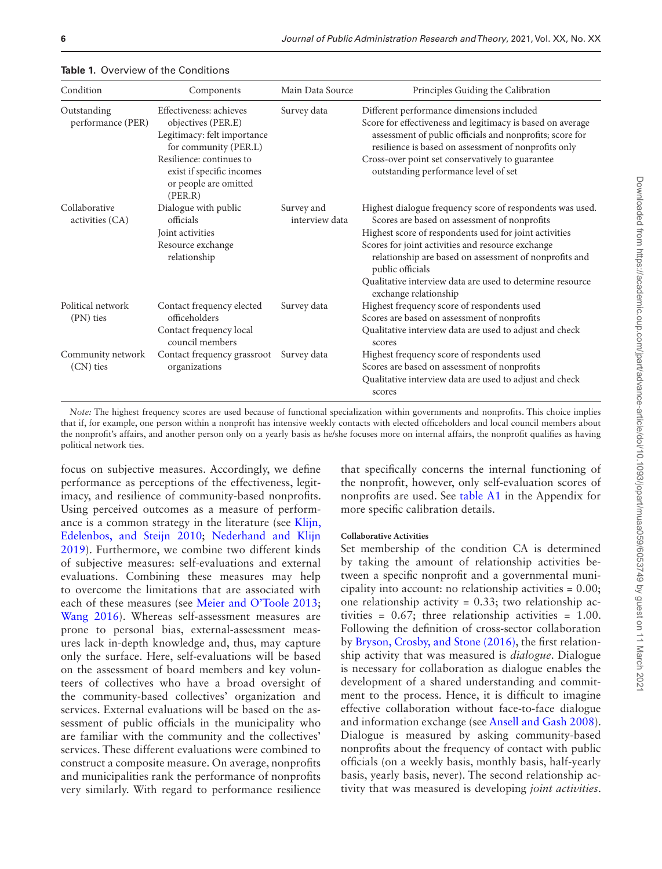| Condition                        | Components                                                                                                                                                                                         | Main Data Source             | Principles Guiding the Calibration                                                                                                                                                                                                                                                                                                                                                           |
|----------------------------------|----------------------------------------------------------------------------------------------------------------------------------------------------------------------------------------------------|------------------------------|----------------------------------------------------------------------------------------------------------------------------------------------------------------------------------------------------------------------------------------------------------------------------------------------------------------------------------------------------------------------------------------------|
| Outstanding<br>performance (PER) | Effectiveness: achieves<br>objectives (PER.E)<br>Legitimacy: felt importance<br>for community (PER.L)<br>Resilience: continues to<br>exist if specific incomes<br>or people are omitted<br>(PER.R) | Survey data                  | Different performance dimensions included<br>Score for effectiveness and legitimacy is based on average<br>assessment of public officials and nonprofits; score for<br>resilience is based on assessment of nonprofits only<br>Cross-over point set conservatively to guarantee<br>outstanding performance level of set                                                                      |
| Collaborative<br>activities (CA) | Dialogue with public<br>officials<br>Joint activities<br>Resource exchange<br>relationship                                                                                                         | Survey and<br>interview data | Highest dialogue frequency score of respondents was used.<br>Scores are based on assessment of nonprofits<br>Highest score of respondents used for joint activities<br>Scores for joint activities and resource exchange<br>relationship are based on assessment of nonprofits and<br>public officials<br>Qualitative interview data are used to determine resource<br>exchange relationship |
| Political network<br>(PN) ties   | Contact frequency elected<br>officeholders<br>Contact frequency local<br>council members                                                                                                           | Survey data                  | Highest frequency score of respondents used<br>Scores are based on assessment of nonprofits<br>Qualitative interview data are used to adjust and check<br>scores                                                                                                                                                                                                                             |
| Community network<br>(CN) ties   | Contact frequency grassroot<br>organizations                                                                                                                                                       | Survey data                  | Highest frequency score of respondents used<br>Scores are based on assessment of nonprofits<br>Qualitative interview data are used to adjust and check<br>scores                                                                                                                                                                                                                             |

<span id="page-5-0"></span>**Table 1.** Overview of the Conditions

*Note:* The highest frequency scores are used because of functional specialization within governments and nonprofits. This choice implies that if, for example, one person within a nonprofit has intensive weekly contacts with elected officeholders and local council members about the nonprofit's affairs, and another person only on a yearly basis as he/she focuses more on internal affairs, the nonprofit qualifies as having political network ties.

focus on subjective measures. Accordingly, we define performance as perceptions of the effectiveness, legitimacy, and resilience of community-based nonprofits. Using perceived outcomes as a measure of performance is a common strategy in the literature (see [Klijn,](#page-17-34)  [Edelenbos, and Steijn 2010;](#page-17-34) [Nederhand and Klijn](#page-18-21)  [2019\)](#page-18-21). Furthermore, we combine two different kinds of subjective measures: self-evaluations and external evaluations. Combining these measures may help to overcome the limitations that are associated with each of these measures (see [Meier and O'Toole 2013;](#page-18-22) [Wang 2016](#page-18-23)). Whereas self-assessment measures are prone to personal bias, external-assessment measures lack in-depth knowledge and, thus, may capture only the surface. Here, self-evaluations will be based on the assessment of board members and key volunteers of collectives who have a broad oversight of the community-based collectives' organization and services. External evaluations will be based on the assessment of public officials in the municipality who are familiar with the community and the collectives' services. These different evaluations were combined to construct a composite measure. On average, nonprofits and municipalities rank the performance of nonprofits very similarly. With regard to performance resilience

that specifically concerns the internal functioning of the nonprofit, however, only self-evaluation scores of nonprofits are used. See [table A1](#page-11-0) in the Appendix for more specific calibration details.

#### **Collaborative Activities**

Set membership of the condition CA is determined by taking the amount of relationship activities between a specific nonprofit and a governmental municipality into account: no relationship activities = 0.00; one relationship activity = 0.33; two relationship activities =  $0.67$ ; three relationship activities =  $1.00$ . Following the definition of cross-sector collaboration by [Bryson, Crosby, and Stone \(2016\),](#page-17-7) the first relationship activity that was measured is *dialogue*. Dialogue is necessary for collaboration as dialogue enables the development of a shared understanding and commitment to the process. Hence, it is difficult to imagine effective collaboration without face-to-face dialogue and information exchange (see [Ansell and Gash 2008\)](#page-17-35). Dialogue is measured by asking community-based nonprofits about the frequency of contact with public officials (on a weekly basis, monthly basis, half-yearly basis, yearly basis, never). The second relationship activity that was measured is developing *joint activities*.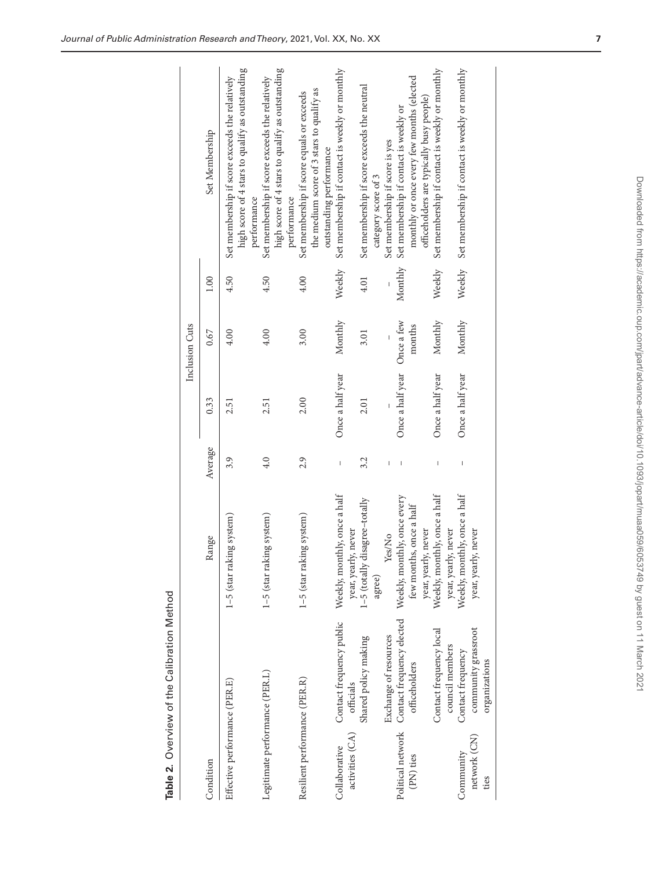| $1$ otho:                                      |
|------------------------------------------------|
| ا ممننیہ ا                                     |
| $101+101$<br>-<br>-<br>ِ<br>;<br>$\frac{2}{5}$ |
| ^<br>م<br>.<br>آ                               |

|                                  |                                            |                                                                            |                                                                                                                                                                                                                                                                                                                                                                                                                |                  | Inclusion Cuts       |         |                                                                                                                   |
|----------------------------------|--------------------------------------------|----------------------------------------------------------------------------|----------------------------------------------------------------------------------------------------------------------------------------------------------------------------------------------------------------------------------------------------------------------------------------------------------------------------------------------------------------------------------------------------------------|------------------|----------------------|---------|-------------------------------------------------------------------------------------------------------------------|
| Condition                        |                                            | Range                                                                      | Average                                                                                                                                                                                                                                                                                                                                                                                                        | 0.33             | 0.67                 | 1.00    | Set Membership                                                                                                    |
| Effective performance (PER.E)    |                                            | 1-5 (star raking system)                                                   | 3.9                                                                                                                                                                                                                                                                                                                                                                                                            | 2.51             | 4.00                 | 4.50    | high score of 4 stars to qualify as outstanding<br>Set membership if score exceeds the relatively<br>pertormance  |
| Legitimate performance (PER.L)   |                                            | 1-5 (star raking system)                                                   | 4.0                                                                                                                                                                                                                                                                                                                                                                                                            | 2.51             | 4.00                 | 4.50    | high score of 4 stars to qualify as outstanding<br>Set membership if score exceeds the relatively<br>performance  |
| Resilient performance (PER.R)    |                                            | 1-5 (star raking system)                                                   | 2.9                                                                                                                                                                                                                                                                                                                                                                                                            | 2.00             | 3.00                 | 4.00    | the medium score of 3 stars to qualify as<br>Set membership if score equals or exceeds<br>outstanding performance |
| activities (CA)<br>Collaborative | Contact frequency public<br>officials      | Weekly, monthly, once a half<br>year, yearly, never                        | $\begin{array}{c} \rule{0pt}{2ex} \rule{0pt}{2ex} \rule{0pt}{2ex} \rule{0pt}{2ex} \rule{0pt}{2ex} \rule{0pt}{2ex} \rule{0pt}{2ex} \rule{0pt}{2ex} \rule{0pt}{2ex} \rule{0pt}{2ex} \rule{0pt}{2ex} \rule{0pt}{2ex} \rule{0pt}{2ex} \rule{0pt}{2ex} \rule{0pt}{2ex} \rule{0pt}{2ex} \rule{0pt}{2ex} \rule{0pt}{2ex} \rule{0pt}{2ex} \rule{0pt}{2ex} \rule{0pt}{2ex} \rule{0pt}{2ex} \rule{0pt}{2ex} \rule{0pt}{$ | Once a half year | Monthly              | Weekly  | Set membership if contact is weekly or monthly                                                                    |
|                                  | Shared policy making                       | $1 - 5$ (totally disagree–totally<br>agree)                                | 3.2                                                                                                                                                                                                                                                                                                                                                                                                            | 2.01             | 3.01                 | 4.01    | Set membership if score exceeds the neutral<br>category score of 3                                                |
|                                  | Exchange of resources                      | Yes/No                                                                     |                                                                                                                                                                                                                                                                                                                                                                                                                |                  |                      |         | Set membership if score is yes                                                                                    |
| Political network<br>(PN) ties   | Contact frequency elected<br>officeholders | Weekly, monthly, once every<br>few months, once a half                     |                                                                                                                                                                                                                                                                                                                                                                                                                | Once a half year | Once a few<br>months | Monthly | monthly or once every few months (elected<br>Set membership if contact is weekly or                               |
|                                  | Contact frequency local<br>council members | Weekly, monthly, once a half<br>year, yearly, never<br>year, yearly, never |                                                                                                                                                                                                                                                                                                                                                                                                                | Once a half year | Monthly              | Weekly  | Set membership if contact is weekly or monthly<br>officeholders are typically busy people)                        |
| Community                        | Contact frequency                          | Weekly, monthly, once a half                                               |                                                                                                                                                                                                                                                                                                                                                                                                                | Once a half year | Monthly              | Weekly  | Set membership if contact is weekly or monthly                                                                    |
| network (CN)<br>ties             | community grassroot<br>organizations       | year, yearly, never                                                        |                                                                                                                                                                                                                                                                                                                                                                                                                |                  |                      |         |                                                                                                                   |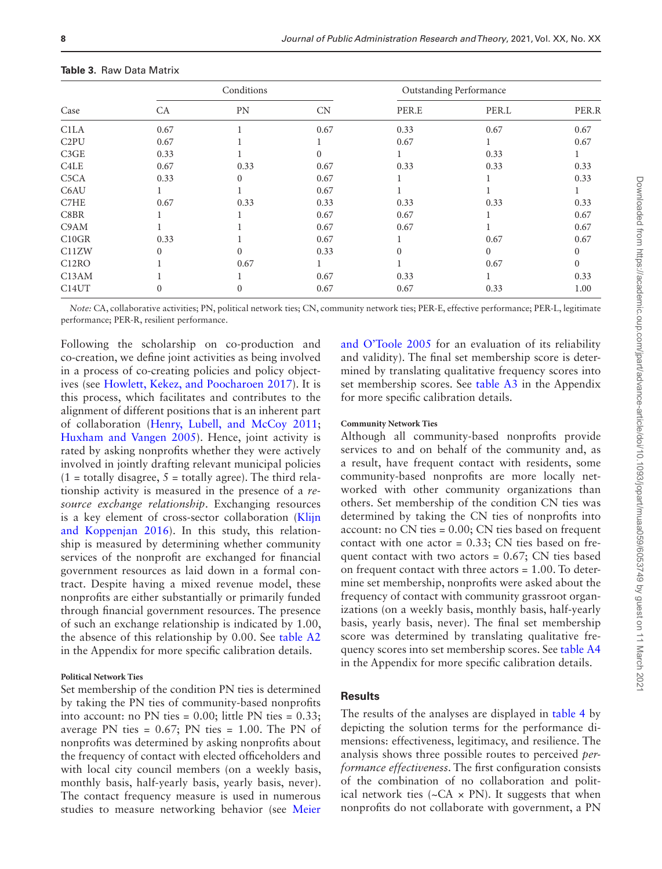|                               |      | Conditions |          |       | <b>Outstanding Performance</b> |          |
|-------------------------------|------|------------|----------|-------|--------------------------------|----------|
| Case                          | CA   | PN         | CN       | PER.E | PER.L                          | PER.R    |
| C <sub>1</sub> LA             | 0.67 |            | 0.67     | 0.33  | 0.67                           | 0.67     |
| C <sub>2</sub> PU             | 0.67 |            |          | 0.67  |                                | 0.67     |
| C3GE                          | 0.33 |            | $\Omega$ |       | 0.33                           |          |
| C <sub>4</sub> L <sub>E</sub> | 0.67 | 0.33       | 0.67     | 0.33  | 0.33                           | 0.33     |
| C <sub>5</sub> C <sub>A</sub> | 0.33 | 0          | 0.67     |       |                                | 0.33     |
| C6AU                          |      |            | 0.67     |       |                                |          |
| C7HE                          | 0.67 | 0.33       | 0.33     | 0.33  | 0.33                           | 0.33     |
| C8BR                          |      |            | 0.67     | 0.67  |                                | 0.67     |
| C9AM                          |      |            | 0.67     | 0.67  |                                | 0.67     |
| C10GR                         | 0.33 |            | 0.67     |       | 0.67                           | 0.67     |
| C11ZW                         | 0    | 0          | 0.33     | 0     | $\Omega$                       |          |
| C <sub>12</sub> RO            |      | 0.67       |          |       | 0.67                           | $\Omega$ |
| C <sub>13</sub> AM            |      |            | 0.67     | 0.33  |                                | 0.33     |
| C <sub>14</sub> UT            |      | 0          | 0.67     | 0.67  | 0.33                           | 1.00     |

**Table 3.** Raw Data Matrix

*Note:* CA, collaborative activities; PN, political network ties; CN, community network ties; PER-E, effective performance; PER-L, legitimate performance; PER-R, resilient performance.

Following the scholarship on co-production and co-creation, we define joint activities as being involved in a process of co-creating policies and policy objectives (see [Howlett, Kekez, and Poocharoen 2017\)](#page-17-17). It is this process, which facilitates and contributes to the alignment of different positions that is an inherent part of collaboration [\(Henry, Lubell, and McCoy 2011;](#page-17-36) [Huxham and Vangen 2005\)](#page-17-37). Hence, joint activity is rated by asking nonprofits whether they were actively involved in jointly drafting relevant municipal policies  $(1 =$  totally disagree,  $5 =$  totally agree). The third relationship activity is measured in the presence of a *resource exchange relationship*. Exchanging resources is a key element of cross-sector collaboration ([Klijn](#page-17-38)  [and Koppenjan 2016\)](#page-17-38). In this study, this relationship is measured by determining whether community services of the nonprofit are exchanged for financial government resources as laid down in a formal contract. Despite having a mixed revenue model, these nonprofits are either substantially or primarily funded through financial government resources. The presence of such an exchange relationship is indicated by 1.00, the absence of this relationship by 0.00. See [table A2](#page-12-0) in the Appendix for more specific calibration details.

#### **Political Network Ties**

Set membership of the condition PN ties is determined by taking the PN ties of community-based nonprofits into account: no PN ties =  $0.00$ ; little PN ties =  $0.33$ ; average PN ties =  $0.67$ ; PN ties =  $1.00$ . The PN of nonprofits was determined by asking nonprofits about the frequency of contact with elected officeholders and with local city council members (on a weekly basis, monthly basis, half-yearly basis, yearly basis, never). The contact frequency measure is used in numerous studies to measure networking behavior (see [Meier](#page-18-24) 

[and O'Toole 2005](#page-18-24) for an evaluation of its reliability and validity). The final set membership score is determined by translating qualitative frequency scores into set membership scores. See [table A3](#page-13-0) in the Appendix for more specific calibration details.

#### **Community Network Ties**

Although all community-based nonprofits provide services to and on behalf of the community and, as a result, have frequent contact with residents, some community-based nonprofits are more locally networked with other community organizations than others. Set membership of the condition CN ties was determined by taking the CN ties of nonprofits into account: no CN ties = 0.00; CN ties based on frequent contact with one actor = 0.33; CN ties based on frequent contact with two actors  $= 0.67$ ; CN ties based on frequent contact with three actors = 1.00. To determine set membership, nonprofits were asked about the frequency of contact with community grassroot organizations (on a weekly basis, monthly basis, half-yearly basis, yearly basis, never). The final set membership score was determined by translating qualitative frequency scores into set membership scores. See [table A4](#page-13-1) in the Appendix for more specific calibration details.

# **Results**

The results of the analyses are displayed in [table 4](#page-8-0) by depicting the solution terms for the performance dimensions: effectiveness, legitimacy, and resilience. The analysis shows three possible routes to perceived *performance effectiveness*. The first configuration consists of the combination of no collaboration and political network ties ( $\sim$ CA  $\times$  PN). It suggests that when nonprofits do not collaborate with government, a PN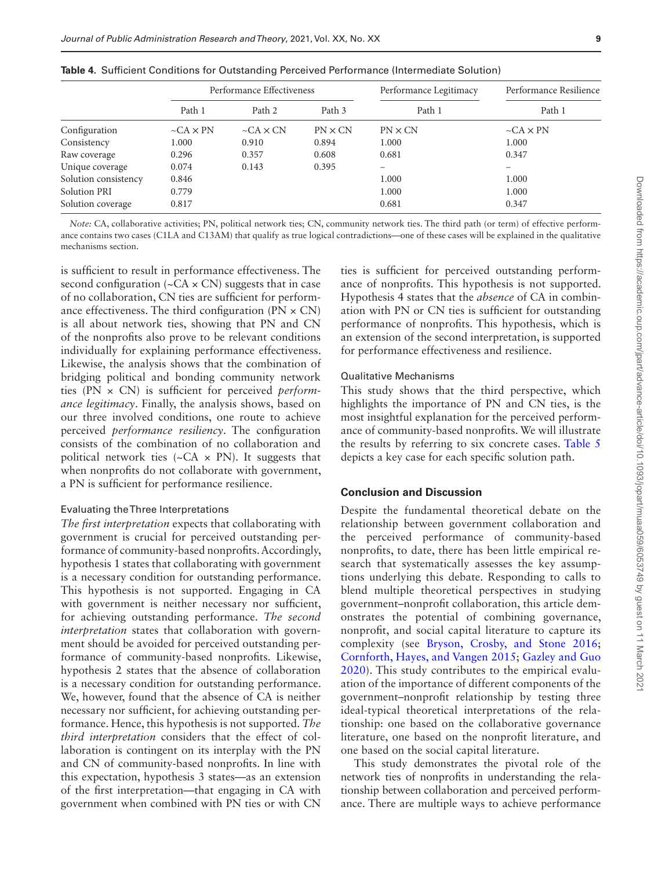|                      |                 | Performance Effectiveness |                | Performance Legitimacy   | Performance Resilience |
|----------------------|-----------------|---------------------------|----------------|--------------------------|------------------------|
|                      | Path 1          | Path 2                    | Path 3         | Path 1                   | Path 1                 |
| Configuration        | $-CA \times PN$ | $-CA \times CN$           | $PN \times CN$ | $PN \times CN$           | $-CA \times PN$        |
| Consistency          | 1.000           | 0.910                     | 0.894          | 1.000                    | 1.000                  |
| Raw coverage         | 0.296           | 0.357                     | 0.608          | 0.681                    | 0.347                  |
| Unique coverage      | 0.074           | 0.143                     | 0.395          | $\overline{\phantom{0}}$ |                        |
| Solution consistency | 0.846           |                           |                | 1.000                    | 1.000                  |
| <b>Solution PRI</b>  | 0.779           |                           |                | 1.000                    | 1.000                  |
| Solution coverage    | 0.817           |                           |                | 0.681                    | 0.347                  |

<span id="page-8-0"></span>**Table 4.** Sufficient Conditions for Outstanding Perceived Performance (Intermediate Solution)

*Note:* CA, collaborative activities; PN, political network ties; CN, community network ties. The third path (or term) of effective performance contains two cases (C1LA and C13AM) that qualify as true logical contradictions—one of these cases will be explained in the qualitative mechanisms section.

is sufficient to result in performance effectiveness. The second configuration ( $\sim$ CA  $\times$  CN) suggests that in case of no collaboration, CN ties are sufficient for performance effectiveness. The third configuration ( $PN \times CN$ ) is all about network ties, showing that PN and CN of the nonprofits also prove to be relevant conditions individually for explaining performance effectiveness. Likewise, the analysis shows that the combination of bridging political and bonding community network ties (PN × CN) is sufficient for perceived *performance legitimacy*. Finally, the analysis shows, based on our three involved conditions, one route to achieve perceived *performance resiliency*. The configuration consists of the combination of no collaboration and political network ties  $({\sim}CA \times PN)$ . It suggests that when nonprofits do not collaborate with government, a PN is sufficient for performance resilience.

#### Evaluating the Three Interpretations

*The first interpretation* expects that collaborating with government is crucial for perceived outstanding performance of community-based nonprofits. Accordingly, hypothesis 1 states that collaborating with government is a necessary condition for outstanding performance. This hypothesis is not supported. Engaging in CA with government is neither necessary nor sufficient, for achieving outstanding performance. *The second interpretation* states that collaboration with government should be avoided for perceived outstanding performance of community-based nonprofits. Likewise, hypothesis 2 states that the absence of collaboration is a necessary condition for outstanding performance. We, however, found that the absence of CA is neither necessary nor sufficient, for achieving outstanding performance. Hence, this hypothesis is not supported. *The third interpretation* considers that the effect of collaboration is contingent on its interplay with the PN and CN of community-based nonprofits. In line with this expectation, hypothesis 3 states—as an extension of the first interpretation—that engaging in CA with government when combined with PN ties or with CN ties is sufficient for perceived outstanding performance of nonprofits. This hypothesis is not supported. Hypothesis 4 states that the *absence* of CA in combination with PN or CN ties is sufficient for outstanding performance of nonprofits. This hypothesis, which is an extension of the second interpretation, is supported for performance effectiveness and resilience.

#### Qualitative Mechanisms

This study shows that the third perspective, which highlights the importance of PN and CN ties, is the most insightful explanation for the perceived performance of community-based nonprofits. We will illustrate the results by referring to six concrete cases. [Table 5](#page-9-0) depicts a key case for each specific solution path.

#### **Conclusion and Discussion**

Despite the fundamental theoretical debate on the relationship between government collaboration and the perceived performance of community-based nonprofits, to date, there has been little empirical research that systematically assesses the key assumptions underlying this debate. Responding to calls to blend multiple theoretical perspectives in studying government–nonprofit collaboration, this article demonstrates the potential of combining governance, nonprofit, and social capital literature to capture its complexity (see [Bryson, Crosby, and Stone 2016;](#page-17-7) [Cornforth, Hayes, and Vangen 2015](#page-17-6); [Gazley and Guo](#page-17-10)  [2020](#page-17-10)). This study contributes to the empirical evaluation of the importance of different components of the government–nonprofit relationship by testing three ideal-typical theoretical interpretations of the relationship: one based on the collaborative governance literature, one based on the nonprofit literature, and one based on the social capital literature.

This study demonstrates the pivotal role of the network ties of nonprofits in understanding the relationship between collaboration and perceived performance. There are multiple ways to achieve performance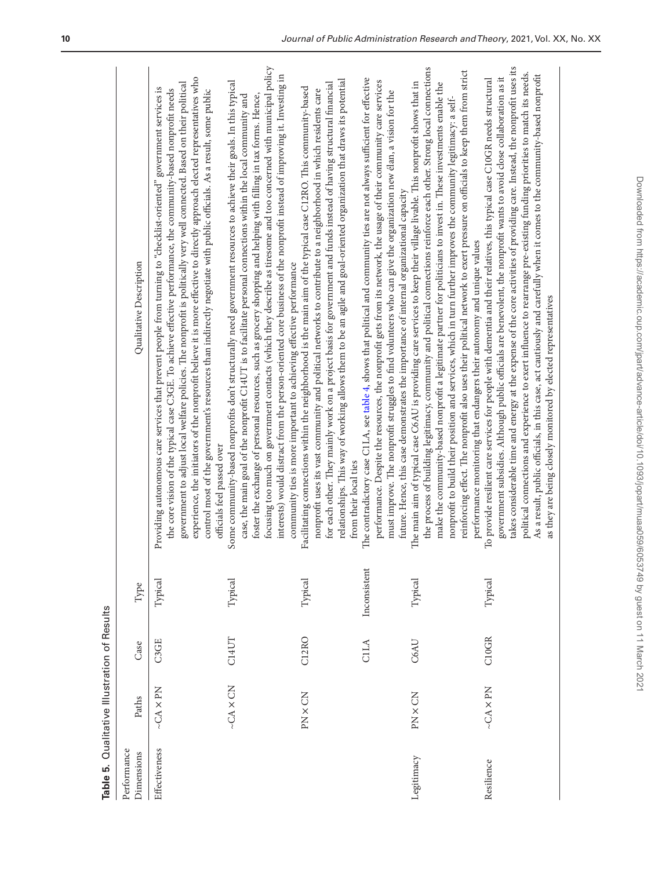<span id="page-9-0"></span>

|                           | Table 5. Qualitative Illustration of Results |       |              |                                                                                                                                                                                                                                                                                                                                                                                                                                                                                                                                                                                                                                                                                                              |
|---------------------------|----------------------------------------------|-------|--------------|--------------------------------------------------------------------------------------------------------------------------------------------------------------------------------------------------------------------------------------------------------------------------------------------------------------------------------------------------------------------------------------------------------------------------------------------------------------------------------------------------------------------------------------------------------------------------------------------------------------------------------------------------------------------------------------------------------------|
| Performance<br>Dimensions | Paths                                        | Case  | Type         | Qualitative Description                                                                                                                                                                                                                                                                                                                                                                                                                                                                                                                                                                                                                                                                                      |
| Effectiveness             | $\sim$ CA $\times$ PN                        | C3GE  | Typical      | experience, the initiators of the nonprofit believe it is more effective to directly approach elected representatives who<br>government to adjust local welfare policies. The nonprofit is politically very well connected. Based on their political<br>Providing autonomous care services that prevent people from turning to "checklist-oriented" government services is<br>the core vision of the typical case C3GE. To achieve effective performance, the community-based nonprofit needs<br>control most of the government's resources than indirectly negotiate with public officials. As a result, some public<br>officials feel passed over                                                          |
|                           | $-CA \times CN$                              | C14UT | Typical      | focusing too much on government contacts (which they describe as tiresome and too concerned with municipal policy<br>interests) would distract from the person-oriented core business of the nonprofit instead of improving it. Investing in<br>Some community-based nonprofits don't structurally need government resources to achieve their goals. In this typical<br>foster the exchange of personal resources, such as grocery shopping and helping with filling in tax forms. Hence,<br>case, the main goal of the nonprofit C14UT is to facilitate personal connections within the local community and<br>community ties is more important to achieving effective performance                          |
|                           | PN × CN                                      | C12RO | Typical      | relationships. This way of working allows them to be an agile and goal-oriented organization that draws its potential<br>for each other. They mainly work on a project basis for government and funds instead of having structural financial<br>Facilitating connections within the neighborhood is the main aim of the typical case C12RO. This community-based<br>nonprofit uses its vast community and political networks to contribute to a neighborhood in which residents care<br>from their local ties                                                                                                                                                                                                |
|                           |                                              | CILA  | Inconsistent | The contradictory case C1LA, see table 4, shows that political and community ties are not always sufficient for effective<br>performance. Despite the resources, the nonprofit gets from its network, the usage of their community care services<br>must improve. The nonprofit struggles to find volunteers who can give the organization new élan, a vision for the<br>future. Hence, this case demonstrates the importance of internal organizational capacity                                                                                                                                                                                                                                            |
| Legitimacy                | PN × CN                                      | C6AU  | Typical      | the process of building legitimacy, community and political connections reinforce each other. Strong local connections<br>reinforcing effect. The nonprofit also uses their political network to exert pressure on officials to keep them from strict<br>The main aim of typical case C6AU is providing care services to keep their village livable. This nonprofit shows that in<br>make the community-based nonprofit a legitimate partner for politicians to invest in. These investments enable the<br>nonprofit to build their position and services, which in turn further improves the community legitimacy: a self-<br>performance monitoring that endangers their autonomy and unique values        |
| Resilience                | $\mathop{\sim}{\rm CA}\times{\rm PN}$        | C10GR | Typical      | takes considerable time and energy at the expense of the core activities of providing care. Instead, the nonprofit uses its<br>political connections and experience to exert influence to rearrange pre-existing funding priorities to match its needs.<br>As a result, public officials, in this case, act cautiously and carefully when it comes to the community-based nonprofit<br>government subsidies. Although public officials are benevolent, the nonprofit wants to avoid close collaboration as it<br>To provide resilient care services for people with dementia and their relatives, this typical case C10GR needs structural<br>as they are being closely monitored by elected representatives |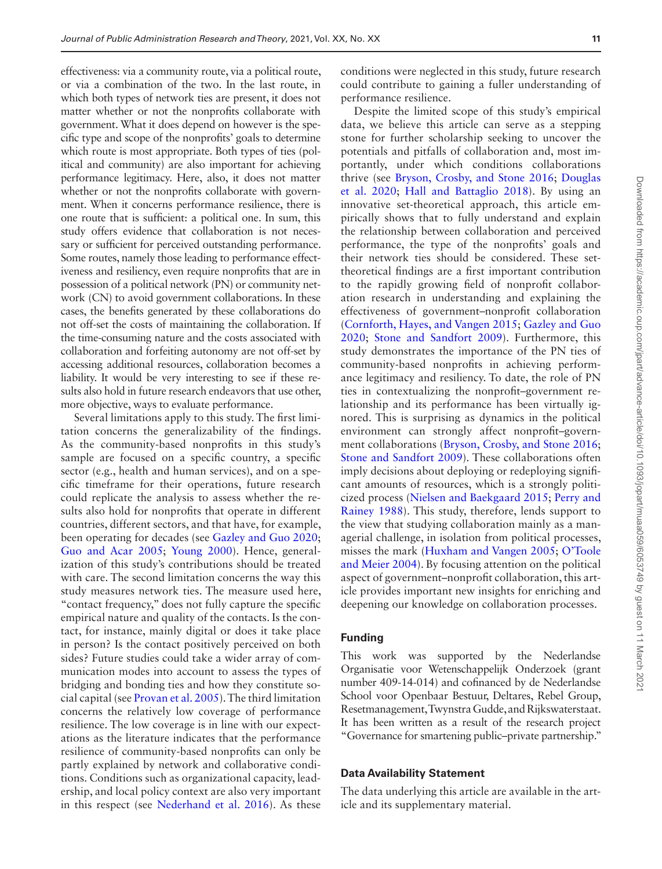effectiveness: via a community route, via a political route, or via a combination of the two. In the last route, in which both types of network ties are present, it does not matter whether or not the nonprofits collaborate with government. What it does depend on however is the specific type and scope of the nonprofits' goals to determine which route is most appropriate. Both types of ties (political and community) are also important for achieving performance legitimacy. Here, also, it does not matter whether or not the nonprofits collaborate with government. When it concerns performance resilience, there is one route that is sufficient: a political one. In sum, this study offers evidence that collaboration is not necessary or sufficient for perceived outstanding performance. Some routes, namely those leading to performance effectiveness and resiliency, even require nonprofits that are in possession of a political network (PN) or community network (CN) to avoid government collaborations. In these cases, the benefits generated by these collaborations do not off-set the costs of maintaining the collaboration. If the time-consuming nature and the costs associated with collaboration and forfeiting autonomy are not off-set by accessing additional resources, collaboration becomes a liability. It would be very interesting to see if these results also hold in future research endeavors that use other, more objective, ways to evaluate performance.

Several limitations apply to this study. The first limitation concerns the generalizability of the findings. As the community-based nonprofits in this study's sample are focused on a specific country, a specific sector (e.g., health and human services), and on a specific timeframe for their operations, future research could replicate the analysis to assess whether the results also hold for nonprofits that operate in different countries, different sectors, and that have, for example, been operating for decades (see [Gazley and Guo 2020;](#page-17-10) [Guo and Acar 2005;](#page-17-39) [Young 2000](#page-18-25)). Hence, generalization of this study's contributions should be treated with care. The second limitation concerns the way this study measures network ties. The measure used here, "contact frequency," does not fully capture the specific empirical nature and quality of the contacts. Is the contact, for instance, mainly digital or does it take place in person? Is the contact positively perceived on both sides? Future studies could take a wider array of communication modes into account to assess the types of bridging and bonding ties and how they constitute social capital (see [Provan et al. 2005](#page-18-12)). The third limitation concerns the relatively low coverage of performance resilience. The low coverage is in line with our expectations as the literature indicates that the performance resilience of community-based nonprofits can only be partly explained by network and collaborative conditions. Conditions such as organizational capacity, leadership, and local policy context are also very important in this respect (see [Nederhand et al. 2016](#page-18-5)). As these

conditions were neglected in this study, future research could contribute to gaining a fuller understanding of performance resilience.

Despite the limited scope of this study's empirical data, we believe this article can serve as a stepping stone for further scholarship seeking to uncover the potentials and pitfalls of collaboration and, most importantly, under which conditions collaborations thrive (see [Bryson, Crosby, and Stone 2016](#page-17-7); [Douglas](#page-17-40)  [et al. 2020;](#page-17-40) [Hall and Battaglio 2018\)](#page-17-41). By using an innovative set-theoretical approach, this article empirically shows that to fully understand and explain the relationship between collaboration and perceived performance, the type of the nonprofits' goals and their network ties should be considered. These settheoretical findings are a first important contribution to the rapidly growing field of nonprofit collaboration research in understanding and explaining the effectiveness of government–nonprofit collaboration ([Cornforth, Hayes, and Vangen 2015;](#page-17-6) [Gazley and Guo](#page-17-10)  [2020;](#page-17-10) [Stone and Sandfort 2009](#page-18-3)). Furthermore, this study demonstrates the importance of the PN ties of community-based nonprofits in achieving performance legitimacy and resiliency. To date, the role of PN ties in contextualizing the nonprofit–government relationship and its performance has been virtually ignored. This is surprising as dynamics in the political environment can strongly affect nonprofit–government collaborations [\(Bryson, Crosby, and Stone 2016;](#page-17-7) [Stone and Sandfort 2009](#page-18-3)). These collaborations often imply decisions about deploying or redeploying significant amounts of resources, which is a strongly politicized process ([Nielsen and Baekgaard 2015](#page-18-26); [Perry and](#page-18-27)  [Rainey 1988\)](#page-18-27). This study, therefore, lends support to the view that studying collaboration mainly as a managerial challenge, in isolation from political processes, misses the mark [\(Huxham and Vangen 2005;](#page-17-37) [O'Toole](#page-18-28)  [and Meier 2004](#page-18-28)). By focusing attention on the political aspect of government–nonprofit collaboration, this article provides important new insights for enriching and deepening our knowledge on collaboration processes.

# **Funding**

This work was supported by the Nederlandse Organisatie voor Wetenschappelijk Onderzoek (grant number 409-14-014) and cofinanced by de Nederlandse School voor Openbaar Bestuur, Deltares, Rebel Group, Resetmanagement, Twynstra Gudde, and Rijkswaterstaat. It has been written as a result of the research project "Governance for smartening public–private partnership."

#### **Data Availability Statement**

The data underlying this article are available in the article and its supplementary material.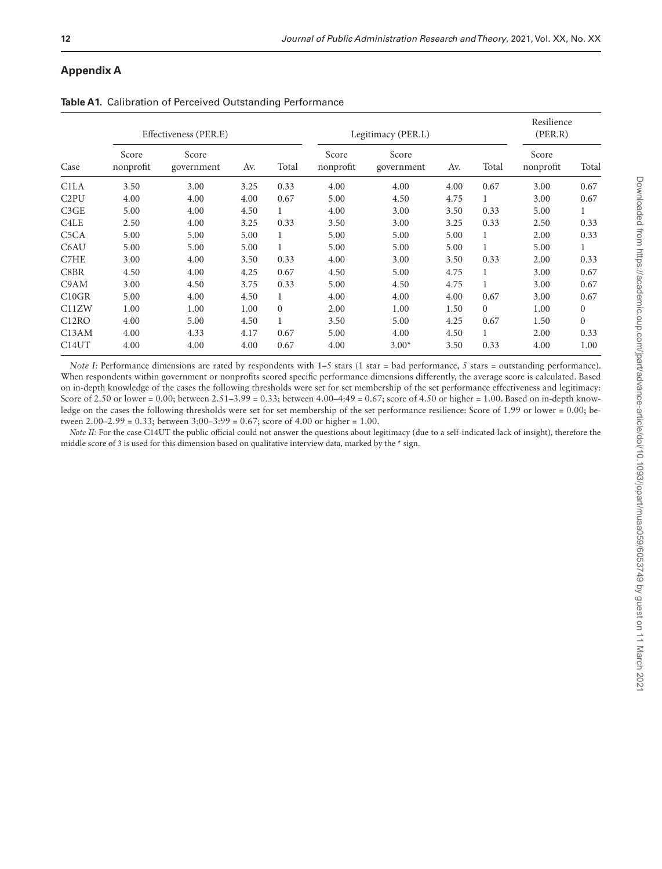# **Appendix A**

|                               |                    | Effectiveness (PER.E) |      |              |                    | Legitimacy (PER.L)  |      |              | Resilience<br>(PER.R) |              |
|-------------------------------|--------------------|-----------------------|------|--------------|--------------------|---------------------|------|--------------|-----------------------|--------------|
| Case                          | Score<br>nonprofit | Score<br>government   | Av.  | Total        | Score<br>nonprofit | Score<br>government | Av.  | Total        | Score<br>nonprofit    | Total        |
| C <sub>1</sub> LA             | 3.50               | 3.00                  | 3.25 | 0.33         | 4.00               | 4.00                | 4.00 | 0.67         | 3.00                  | 0.67         |
| C <sub>2</sub> PU             | 4.00               | 4.00                  | 4.00 | 0.67         | 5.00               | 4.50                | 4.75 | 1            | 3.00                  | 0.67         |
| C3GE                          | 5.00               | 4.00                  | 4.50 | $\mathbf{1}$ | 4.00               | 3.00                | 3.50 | 0.33         | 5.00                  | $\mathbf{1}$ |
| C <sub>4</sub> L <sub>E</sub> | 2.50               | 4.00                  | 3.25 | 0.33         | 3.50               | 3.00                | 3.25 | 0.33         | 2.50                  | 0.33         |
| C <sub>5</sub> C <sub>A</sub> | 5.00               | 5.00                  | 5.00 | 1            | 5.00               | 5.00                | 5.00 | 1            | 2.00                  | 0.33         |
| C6AU                          | 5.00               | 5.00                  | 5.00 | $\mathbf{1}$ | 5.00               | 5.00                | 5.00 | $\mathbf{1}$ | 5.00                  | $\mathbf{1}$ |
| C7HE                          | 3.00               | 4.00                  | 3.50 | 0.33         | 4.00               | 3.00                | 3.50 | 0.33         | 2.00                  | 0.33         |
| C8BR                          | 4.50               | 4.00                  | 4.25 | 0.67         | 4.50               | 5.00                | 4.75 | 1            | 3.00                  | 0.67         |
| C9AM                          | 3.00               | 4.50                  | 3.75 | 0.33         | 5.00               | 4.50                | 4.75 | 1            | 3.00                  | 0.67         |
| C10GR                         | 5.00               | 4.00                  | 4.50 | 1            | 4.00               | 4.00                | 4.00 | 0.67         | 3.00                  | 0.67         |
| C11ZW                         | 1.00               | 1.00                  | 1.00 | $\Omega$     | 2.00               | 1.00                | 1.50 | $\Omega$     | 1.00                  | $\mathbf{0}$ |
| C <sub>12</sub> RO            | 4.00               | 5.00                  | 4.50 | $\mathbf{1}$ | 3.50               | 5.00                | 4.25 | 0.67         | 1.50                  | $\mathbf{0}$ |
| C13AM                         | 4.00               | 4.33                  | 4.17 | 0.67         | 5.00               | 4.00                | 4.50 | $\mathbf{1}$ | 2.00                  | 0.33         |
| C <sub>14</sub> UT            | 4.00               | 4.00                  | 4.00 | 0.67         | 4.00               | $3.00*$             | 3.50 | 0.33         | 4.00                  | 1.00         |

<span id="page-11-0"></span>**Table A1.** Calibration of Perceived Outstanding Performance

*Note I:* Performance dimensions are rated by respondents with 1–5 stars (1 star = bad performance, 5 stars = outstanding performance). When respondents within government or nonprofits scored specific performance dimensions differently, the average score is calculated. Based on in-depth knowledge of the cases the following thresholds were set for set membership of the set performance effectiveness and legitimacy: Score of 2.50 or lower = 0.00; between 2.51–3.99 = 0.33; between 4.00–4:49 = 0.67; score of 4.50 or higher = 1.00. Based on in-depth knowledge on the cases the following thresholds were set for set membership of the set performance resilience: Score of 1.99 or lower = 0.00; between 2.00–2.99 = 0.33; between 3:00–3:99 = 0.67; score of 4.00 or higher = 1.00.

*Note II:* For the case C14UT the public official could not answer the questions about legitimacy (due to a self-indicated lack of insight), therefore the middle score of 3 is used for this dimension based on qualitative interview data, marked by the \* sign.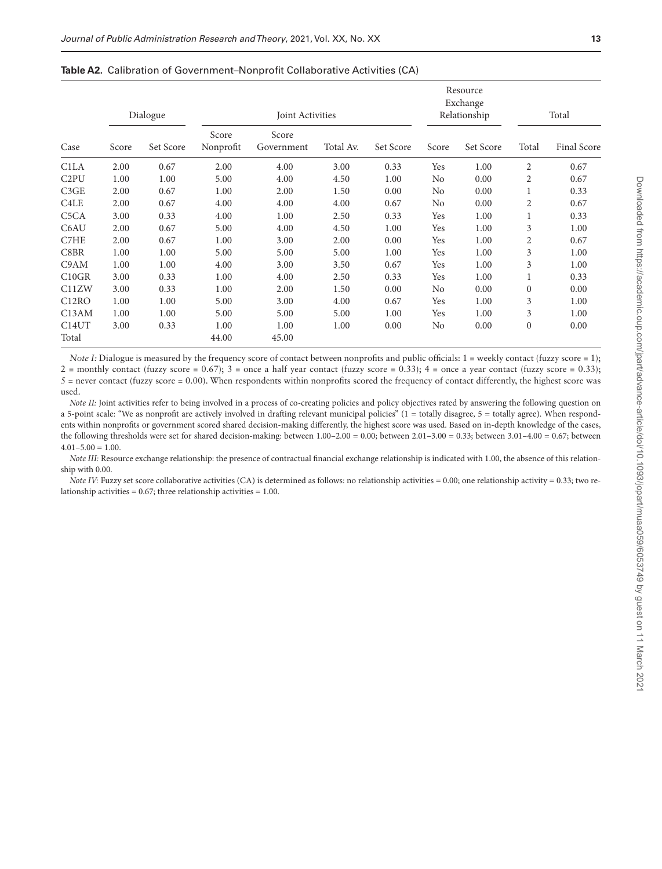|                               |       | Dialogue  |                    | Joint Activities    |           |           |       | Resource<br>Exchange<br>Relationship |              | Total       |
|-------------------------------|-------|-----------|--------------------|---------------------|-----------|-----------|-------|--------------------------------------|--------------|-------------|
| Case                          | Score | Set Score | Score<br>Nonprofit | Score<br>Government | Total Av. | Set Score | Score | Set Score                            | Total        | Final Score |
| C <sub>1</sub> LA             | 2.00  | 0.67      | 2.00               | 4.00                | 3.00      | 0.33      | Yes   | 1.00                                 | 2            | 0.67        |
| C <sub>2</sub> PU             | 1.00  | 1.00      | 5.00               | 4.00                | 4.50      | 1.00      | No    | 0.00                                 | 2            | 0.67        |
| C3GE                          | 2.00  | 0.67      | 1.00               | 2.00                | 1.50      | 0.00      | No    | 0.00                                 |              | 0.33        |
| C4LE                          | 2.00  | 0.67      | 4.00               | 4.00                | 4.00      | 0.67      | No    | 0.00                                 | 2            | 0.67        |
| C <sub>5</sub> C <sub>A</sub> | 3.00  | 0.33      | 4.00               | 1.00                | 2.50      | 0.33      | Yes   | 1.00                                 | 1            | 0.33        |
| C6AU                          | 2.00  | 0.67      | 5.00               | 4.00                | 4.50      | 1.00      | Yes   | 1.00                                 | 3            | 1.00        |
| C7HE                          | 2.00  | 0.67      | 1.00               | 3.00                | 2.00      | 0.00      | Yes   | 1.00                                 | 2            | 0.67        |
| C8BR                          | 1.00  | 1.00      | 5.00               | 5.00                | 5.00      | 1.00      | Yes   | 1.00                                 | 3            | 1.00        |
| C9AM                          | 1.00  | 1.00      | 4.00               | 3.00                | 3.50      | 0.67      | Yes   | 1.00                                 | 3            | 1.00        |
| C10GR                         | 3.00  | 0.33      | 1.00               | 4.00                | 2.50      | 0.33      | Yes   | 1.00                                 | 1            | 0.33        |
| C11ZW                         | 3.00  | 0.33      | 1.00               | 2.00                | 1.50      | 0.00      | No    | 0.00                                 | $\Omega$     | 0.00        |
| C <sub>12</sub> RO            | 1.00  | 1.00      | 5.00               | 3.00                | 4.00      | 0.67      | Yes   | 1.00                                 | 3            | 1.00        |
| C13AM                         | 1.00  | 1.00      | 5.00               | 5.00                | 5.00      | 1.00      | Yes   | 1.00                                 | 3            | 1.00        |
| C <sub>14</sub> UT            | 3.00  | 0.33      | 1.00               | 1.00                | 1.00      | 0.00      | No    | 0.00                                 | $\mathbf{0}$ | 0.00        |
| Total                         |       |           | 44.00              | 45.00               |           |           |       |                                      |              |             |

<span id="page-12-0"></span>**Table A2.** Calibration of Government–Nonprofit Collaborative Activities (CA)

*Note I*: Dialogue is measured by the frequency score of contact between nonprofits and public officials: 1 = weekly contact (fuzzy score = 1); 2 = monthly contact (fuzzy score =  $0.67$ ); 3 = once a half year contact (fuzzy score =  $0.33$ ); 4 = once a year contact (fuzzy score =  $0.33$ );  $5$  = never contact (fuzzy score = 0.00). When respondents within nonprofits scored the frequency of contact differently, the highest score was used.

*Note II:* Joint activities refer to being involved in a process of co-creating policies and policy objectives rated by answering the following question on a 5-point scale: "We as nonprofit are actively involved in drafting relevant municipal policies"  $(1 =$  totally disagree,  $5 =$  totally agree). When respondents within nonprofits or government scored shared decision-making differently, the highest score was used. Based on in-depth knowledge of the cases, the following thresholds were set for shared decision-making: between 1.00–2.00 = 0.00; between 2.01–3.00 = 0.33; between 3.01–4.00 = 0.67; between  $4.01 - 5.00 = 1.00$ .

*Note III:* Resource exchange relationship: the presence of contractual financial exchange relationship is indicated with 1.00, the absence of this relationship with 0.00.

*Note IV:* Fuzzy set score collaborative activities (CA) is determined as follows: no relationship activities = 0.00; one relationship activity = 0.33; two relationship activities =  $0.67$ ; three relationship activities =  $1.00$ .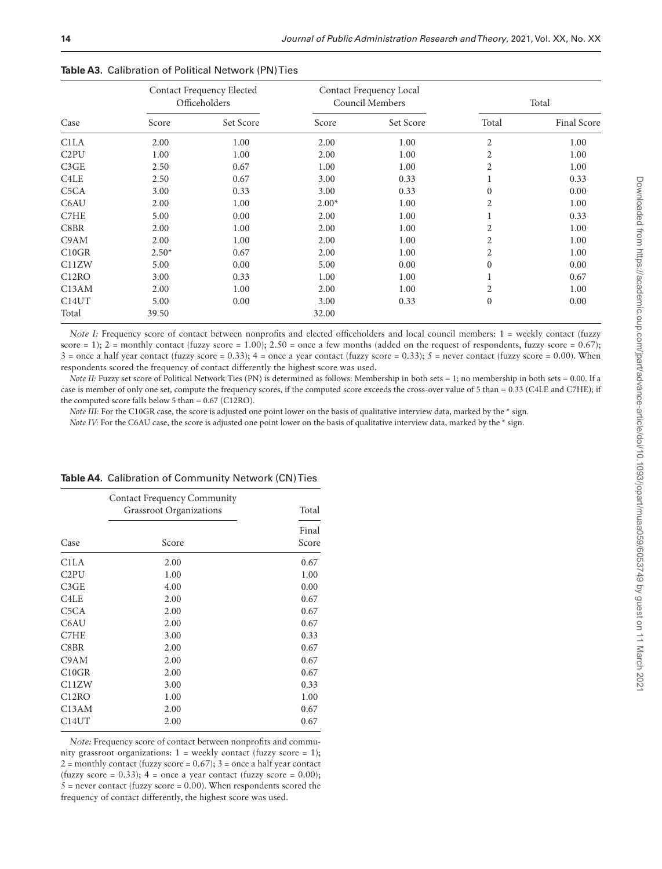|                               |         | Contact Frequency Elected<br>Officeholders |         | Contact Frequency Local<br><b>Council Members</b> |                | Total              |
|-------------------------------|---------|--------------------------------------------|---------|---------------------------------------------------|----------------|--------------------|
| Case                          | Score   | Set Score                                  | Score   | Set Score                                         | Total          | <b>Final Score</b> |
| C <sub>1</sub> LA             | 2.00    | 1.00                                       | 2.00    | 1.00                                              | $\overline{c}$ | 1.00               |
| C <sub>2</sub> PU             | 1.00    | 1.00                                       | 2.00    | 1.00                                              | 2              | 1.00               |
| C3GE                          | 2.50    | 0.67                                       | 1.00    | 1.00                                              | 2              | 1.00               |
| C <sub>4</sub> L <sub>E</sub> | 2.50    | 0.67                                       | 3.00    | 0.33                                              |                | 0.33               |
| C <sub>5</sub> C <sub>A</sub> | 3.00    | 0.33                                       | 3.00    | 0.33                                              | $\theta$       | 0.00               |
| C6AU                          | 2.00    | 1.00                                       | $2.00*$ | 1.00                                              | 2              | 1.00               |
| C7HE                          | 5.00    | 0.00                                       | 2.00    | 1.00                                              |                | 0.33               |
| C8BR                          | 2.00    | 1.00                                       | 2.00    | 1.00                                              | 2              | 1.00               |
| C9AM                          | 2.00    | 1.00                                       | 2.00    | 1.00                                              | 2              | 1.00               |
| C10GR                         | $2.50*$ | 0.67                                       | 2.00    | 1.00                                              | 2              | 1.00               |
| C11ZW                         | 5.00    | 0.00                                       | 5.00    | 0.00                                              | $\Omega$       | 0.00               |
| C12RO                         | 3.00    | 0.33                                       | 1.00    | 1.00                                              |                | 0.67               |
| C13AM                         | 2.00    | 1.00                                       | 2.00    | 1.00                                              | 2              | 1.00               |
| C <sub>14</sub> UT            | 5.00    | 0.00                                       | 3.00    | 0.33                                              | $\mathbf{0}$   | 0.00               |
| Total                         | 39.50   |                                            | 32.00   |                                                   |                |                    |

<span id="page-13-0"></span>

| Table A3. Calibration of Political Network (PN) Ties |  |
|------------------------------------------------------|--|
|------------------------------------------------------|--|

*Note I:* Frequency score of contact between nonprofits and elected officeholders and local council members: 1 = weekly contact (fuzzy score = 1); 2 = monthly contact (fuzzy score = 1.00); 2.50 = once a few months (added on the request of respondents, fuzzy score = 0.67);  $3 =$  once a half year contact (fuzzy score = 0.33);  $4 =$  once a year contact (fuzzy score = 0.33);  $5 =$  never contact (fuzzy score = 0.00). When respondents scored the frequency of contact differently the highest score was used.

*Note II:* Fuzzy set score of Political Network Ties (PN) is determined as follows: Membership in both sets = 1; no membership in both sets = 0.00. If a case is member of only one set, compute the frequency scores, if the computed score exceeds the cross-over value of 5 than = 0.33 (C4LE and C7HE); if the computed score falls below 5 than = 0.67 (C12RO).

*Note III:* For the C10GR case, the score is adjusted one point lower on the basis of qualitative interview data, marked by the \* sign.

*Note IV*: For the C6AU case, the score is adjusted one point lower on the basis of qualitative interview data, marked by the \* sign.

|                               | <b>Contact Frequency Community</b><br>Grassroot Organizations | Total          |
|-------------------------------|---------------------------------------------------------------|----------------|
| Case                          | Score                                                         | Final<br>Score |
| C1LA                          | 2.00                                                          | 0.67           |
| C <sub>2</sub> PU             | 1.00                                                          | 1.00           |
| C3GE                          | 4.00                                                          | 0.00           |
| C <sub>4</sub> L <sub>E</sub> | 2.00                                                          | 0.67           |
| C <sub>5</sub> CA             | 2.00                                                          | 0.67           |
| C6AU                          | 2.00                                                          | 0.67           |
| C7HE                          | 3.00                                                          | 0.33           |
| C8BR                          | 2.00                                                          | 0.67           |
| C9AM                          | 2.00                                                          | 0.67           |
| C10GR                         | 2.00                                                          | 0.67           |
| C11ZW                         | 3.00                                                          | 0.33           |
| C <sub>12</sub> RO            | 1.00                                                          | 1.00           |
| C13AM                         | 2.00                                                          | 0.67           |
| C14UT                         | 2.00                                                          | 0.67           |

#### <span id="page-13-1"></span>**Table A4.** Calibration of Community Network (CN) Ties

*Note:* Frequency score of contact between nonprofits and community grassroot organizations: 1 = weekly contact (fuzzy score = 1);  $2 =$  monthly contact (fuzzy score = 0.67);  $3 =$  once a half year contact (fuzzy score =  $0.33$ ); 4 = once a year contact (fuzzy score =  $0.00$ );  $5$  = never contact (fuzzy score = 0.00). When respondents scored the frequency of contact differently, the highest score was used.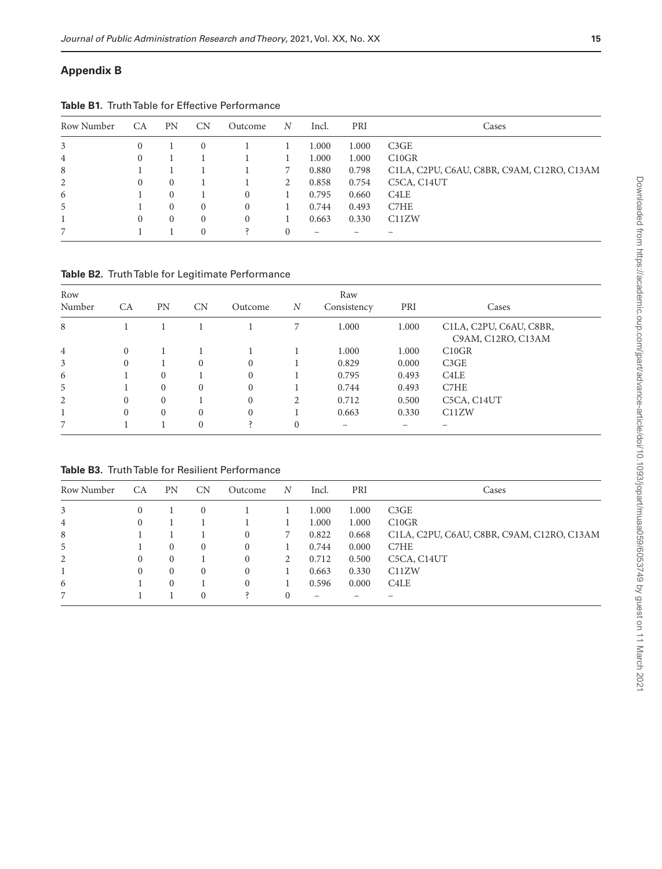# **Appendix B**

| Row Number     | CA       | <b>PN</b>    | <b>CN</b> | Outcome  | N        | Incl.                    | PRI   | Cases                                             |
|----------------|----------|--------------|-----------|----------|----------|--------------------------|-------|---------------------------------------------------|
| 3              | $\Omega$ |              | $\Omega$  |          |          | 1.000                    | 1.000 | C3GE                                              |
| $\overline{4}$ | 0        |              |           |          |          | 1.000                    | 1.000 | C10GR                                             |
| 8              |          |              |           |          |          | 0.880                    | 0.798 | C1LA, C2PU, C6AU, C8BR, C9AM, C12RO, C13AM        |
| 2              | 0        | $\mathbf{0}$ |           |          | 2        | 0.858                    | 0.754 | C <sub>5</sub> CA, C <sub>14</sub> U <sub>T</sub> |
| 6              |          | $\theta$     |           | 0        |          | 0.795                    | 0.660 | C4LE                                              |
| 5              |          | $\Omega$     | $\left($  | $\Omega$ |          | 0.744                    | 0.493 | C7HE                                              |
|                | $\Omega$ | $\Omega$     | $\left($  | 0        |          | 0.663                    | 0.330 | C11ZW                                             |
|                |          |              | $\Omega$  |          | $\Omega$ | $\overline{\phantom{0}}$ |       |                                                   |

**Table B1.** Truth Table for Effective Performance

**Table B2.** Truth Table for Legitimate Performance

| Row            |          |              |          |          |                | Raw         |       |                                               |
|----------------|----------|--------------|----------|----------|----------------|-------------|-------|-----------------------------------------------|
| Number         | СA       | PN           | CN       | Outcome  | $\overline{N}$ | Consistency | PRI   | Cases                                         |
| 8              |          |              |          |          |                | 1.000       | 1.000 | C1LA, C2PU, C6AU, C8BR,<br>C9AM, C12RO, C13AM |
| $\overline{4}$ | $\Omega$ |              |          |          |                | 1.000       | 1.000 | C10GR                                         |
| 3              | $\Omega$ |              | $\Omega$ | $\Omega$ |                | 0.829       | 0.000 | C3GE                                          |
| 6              |          | $\mathbf{0}$ |          | $\Omega$ |                | 0.795       | 0.493 | C <sub>4</sub> LE                             |
| 5              |          | $\Omega$     | $\Omega$ | $\Omega$ |                | 0.744       | 0.493 | C7HE                                          |
| 2              | $\Omega$ | $\Omega$     |          | $\Omega$ | 2              | 0.712       | 0.500 | C5CA, C14UT                                   |
|                | $\Omega$ | $\Omega$     | $\Omega$ | $\Omega$ |                | 0.663       | 0.330 | C11ZW                                         |
|                |          |              | $\Omega$ |          | $\theta$       | -           |       |                                               |

**Table B3.** Truth Table for Resilient Performance

| Row Number | CA | <b>PN</b> | <b>CN</b> | Outcome  | N | Incl. | PRI   | Cases                                      |
|------------|----|-----------|-----------|----------|---|-------|-------|--------------------------------------------|
| 3          |    |           | $\Omega$  |          |   | 1.000 | 1.000 | C3GE                                       |
| 4          | 0  |           |           |          |   | 1.000 | 1.000 | C10GR                                      |
| 8          |    |           |           | $\Omega$ |   | 0.822 | 0.668 | C1LA, C2PU, C6AU, C8BR, C9AM, C12RO, C13AM |
| 5          |    | 0         | $\left($  | $\Omega$ |   | 0.744 | 0.000 | C7HE                                       |
| 2          | 0  | 0         |           | $\Omega$ | 2 | 0.712 | 0.500 | C <sub>5</sub> CA, C <sub>14</sub> UT      |
|            | 0  | 0         | $\left($  | $\Omega$ |   | 0.663 | 0.330 | C11ZW                                      |
| 6          |    |           |           | $\Omega$ |   | 0.596 | 0.000 | C4LE                                       |
| 7          |    |           | $\Omega$  |          |   |       |       |                                            |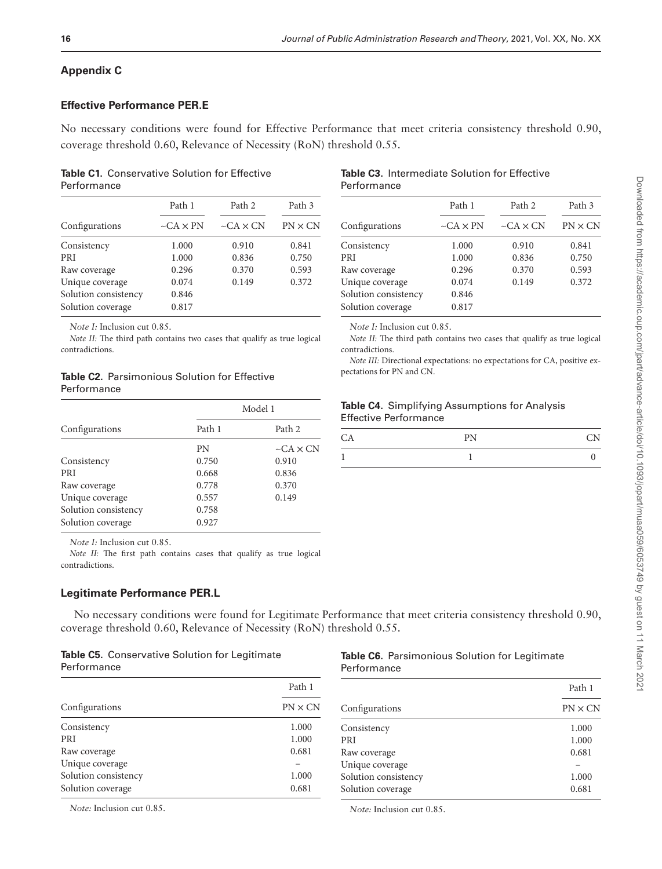# **Appendix C**

# **Effective Performance PER.E**

No necessary conditions were found for Effective Performance that meet criteria consistency threshold 0.90, coverage threshold 0.60, Relevance of Necessity (RoN) threshold 0.55.

## **Table C1.** Conservative Solution for Effective Performance

|                      | Path 1                | Path 2          | Path 3         |  |
|----------------------|-----------------------|-----------------|----------------|--|
| Configurations       | $\neg$ CA $\times$ PN | $-CA \times CN$ | $PN \times CN$ |  |
| Consistency          | 1.000                 | 0.910           | 0.841          |  |
| <b>PRI</b>           | 1.000                 | 0.836           | 0.750          |  |
| Raw coverage         | 0.296                 | 0.370           | 0.593          |  |
| Unique coverage      | 0.074                 | 0.149           | 0.372          |  |
| Solution consistency | 0.846                 |                 |                |  |
| Solution coverage    | 0.817                 |                 |                |  |
|                      |                       |                 |                |  |

*Note I:* Inclusion cut 0.85.

*Note II:* The third path contains two cases that qualify as true logical contradictions.

# **Table C2.** Parsimonious Solution for Effective Performance

|                      | Model 1 |                       |  |
|----------------------|---------|-----------------------|--|
| Configurations       | Path 1  | Path 2                |  |
|                      | PN      | $\sim$ CA $\times$ CN |  |
| Consistency          | 0.750   | 0.910                 |  |
| <b>PRI</b>           | 0.668   | 0.836                 |  |
| Raw coverage         | 0.778   | 0.370                 |  |
| Unique coverage      | 0.557   | 0.149                 |  |
| Solution consistency | 0.758   |                       |  |
| Solution coverage    | 0.927   |                       |  |

*Note I:* Inclusion cut 0.85.

*Note II:* The first path contains cases that qualify as true logical contradictions.

# **Legitimate Performance PER.L**

No necessary conditions were found for Legitimate Performance that meet criteria consistency threshold 0.90, coverage threshold 0.60, Relevance of Necessity (RoN) threshold 0.55.

|             | <b>Table C5.</b> Conservative Solution for Legitimate |  |  |
|-------------|-------------------------------------------------------|--|--|
| Performance |                                                       |  |  |

|             | Table C6. Parsimonious Solution for Legitimate |
|-------------|------------------------------------------------|
| Performance |                                                |

| Path 1         |                      | Path 1          |
|----------------|----------------------|-----------------|
| $PN \times CN$ | Configurations       | $PN \times CN$  |
| 1.000          | Consistency          | 1.000           |
| 1.000          | <b>PRI</b>           | 1.000           |
| 0.681          | Raw coverage         | 0.681           |
|                |                      |                 |
| 1.000          | Solution consistency | 1.000           |
| 0.681          | Solution coverage    | 0.681           |
|                |                      | Unique coverage |

*Note:* Inclusion cut 0.85.

*Note:* Inclusion cut 0.85.

#### **Table C3.** Intermediate Solution for Effective Performance

|                      | Path 1                | Path 2          | Path 3         |
|----------------------|-----------------------|-----------------|----------------|
| Configurations       | $\neg$ CA $\times$ PN | $-CA \times CN$ | $PN \times CN$ |
| Consistency          | 1.000                 | 0.910           | 0.841          |
| <b>PRI</b>           | 1.000                 | 0.836           | 0.750          |
| Raw coverage         | 0.296                 | 0.370           | 0.593          |
| Unique coverage      | 0.074                 | 0.149           | 0.372          |
| Solution consistency | 0.846                 |                 |                |
| Solution coverage    | 0.817                 |                 |                |
|                      |                       |                 |                |

*Note I:* Inclusion cut 0.85.

*Note II:* The third path contains two cases that qualify as true logical contradictions.

*Note III:* Directional expectations: no expectations for CA, positive expectations for PN and CN.

## **Table C4.** Simplifying Assumptions for Analysis Effective Performance

| DNI<br>. . |  |
|------------|--|
|            |  |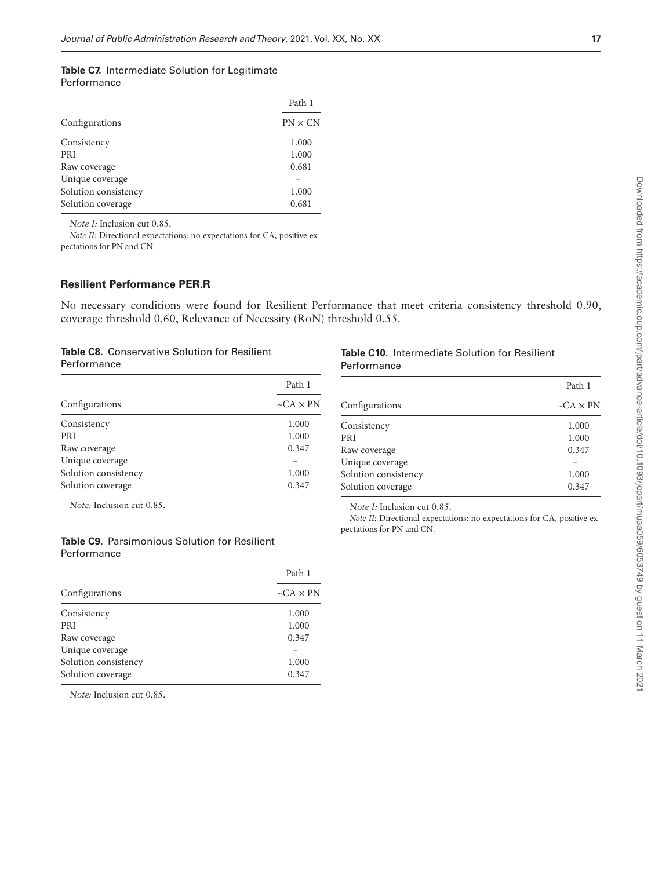#### **Table C7.** Intermediate Solution for Legitimate Performance

|                      | Path 1         |
|----------------------|----------------|
| Configurations       | $PN \times CN$ |
| Consistency          | 1.000          |
| <b>PRI</b>           | 1.000          |
| Raw coverage         | 0.681          |
| Unique coverage      |                |
| Solution consistency | 1.000          |
| Solution coverage    | 0.681          |
|                      |                |

*Note I:* Inclusion cut 0.85.

*Note II:* Directional expectations: no expectations for CA, positive expectations for PN and CN.

# **Resilient Performance PER.R**

No necessary conditions were found for Resilient Performance that meet criteria consistency threshold 0.90, coverage threshold 0.60, Relevance of Necessity (RoN) threshold 0.55.

#### **Table C8.** Conservative Solution for Resilient Performance

|                      | Path 1                |
|----------------------|-----------------------|
| Configurations       | $\neg$ CA $\times$ PN |
| Consistency          | 1.000                 |
| <b>PRI</b>           | 1.000                 |
| Raw coverage         | 0.347                 |
| Unique coverage      |                       |
| Solution consistency | 1.000                 |
| Solution coverage    | 0.347                 |

|             | <b>Table C10.</b> Intermediate Solution for Resilient |
|-------------|-------------------------------------------------------|
| Performance |                                                       |

*Note I:* Inclusion cut 0.85.

pectations for PN and CN.

|                      | Path 1                |
|----------------------|-----------------------|
| Configurations       | $\neg$ CA $\times$ PN |
| Consistency          | 1.000                 |
| <b>PRI</b>           | 1.000                 |
| Raw coverage         | 0.347                 |
| Unique coverage      |                       |
| Solution consistency | 1.000                 |
| Solution coverage    | 0.347                 |

*Note II:* Directional expectations: no expectations for CA, positive ex-

*Note:* Inclusion cut 0.85.

# **Table C9.** Parsimonious Solution for Resilient Performance

| Configurations       | Path 1<br>$\neg$ CA $\times$ PN |
|----------------------|---------------------------------|
|                      |                                 |
| <b>PRI</b>           | 1.000                           |
| Raw coverage         | 0.347                           |
| Unique coverage      |                                 |
| Solution consistency | 1.000                           |
| Solution coverage    | 0.347                           |

*Note:* Inclusion cut 0.85.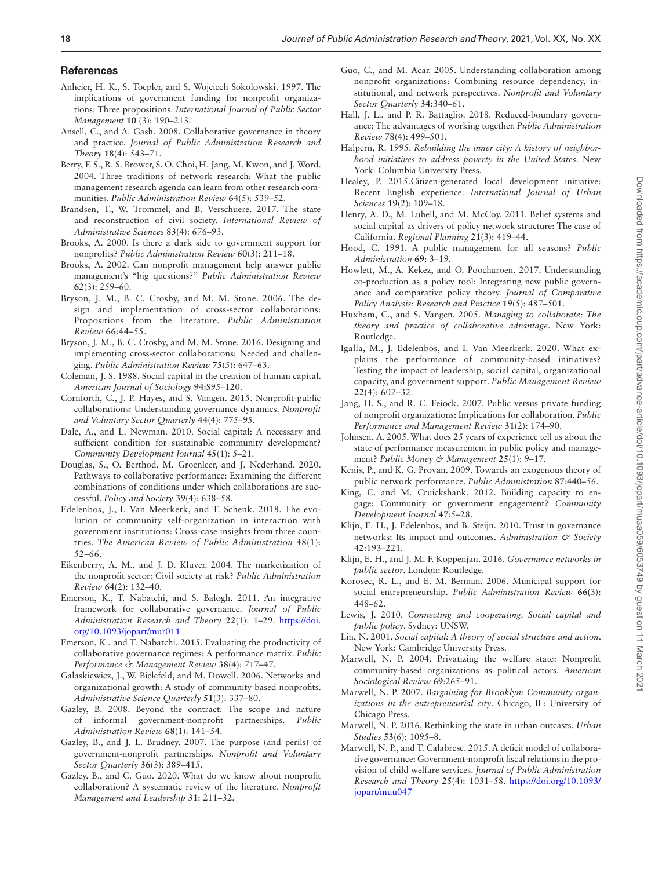#### **References**

- <span id="page-17-20"></span>Anheier, H. K., S. Toepler, and S. Wojciech Sokolowski. 1997. The implications of government funding for nonprofit organizations: Three propositions. *International Journal of Public Sector Management* **10** (3): 190–213.
- <span id="page-17-35"></span>Ansell, C., and A. Gash. 2008. Collaborative governance in theory and practice. *Journal of Public Administration Research and Theory* **18**(4): 543–71.
- <span id="page-17-13"></span>Berry, F. S., R. S. Brower, S. O. Choi, H. Jang, M. Kwon, and J. Word. 2004. Three traditions of network research: What the public management research agenda can learn from other research communities. *Public Administration Review* **64**(5): 539–52.
- <span id="page-17-21"></span>Brandsen, T., W. Trommel, and B. Verschuere. 2017. The state and reconstruction of civil society. *International Review of Administrative Sciences* **83**(4): 676–93.
- <span id="page-17-19"></span>Brooks, A. 2000. Is there a dark side to government support for nonprofits? *Public Administration Review* **60**(3): 211–18.
- <span id="page-17-22"></span>Brooks, A. 2002. Can nonprofit management help answer public management's "big questions?" *Public Administration Review* **62**(3): 259–60.
- <span id="page-17-9"></span>Bryson, J. M., B. C. Crosby, and M. M. Stone. 2006. The design and implementation of cross-sector collaborations: Propositions from the literature. *Public Administration Review* **66**:44–55.
- <span id="page-17-7"></span>Bryson, J. M., B. C. Crosby, and M. M. Stone. 2016. Designing and implementing cross-sector collaborations: Needed and challenging. *Public Administration Review* **75**(5): 647–63.
- <span id="page-17-30"></span>Coleman, J. S. 1988. Social capital in the creation of human capital. *American Journal of Sociology* **94**:S95–120.
- <span id="page-17-6"></span>Cornforth, C., J. P. Hayes, and S. Vangen. 2015. Nonprofit-public collaborations: Understanding governance dynamics. *Nonprofit and Voluntary Sector Quarterly* **44**(4): 775–95.
- <span id="page-17-18"></span>Dale, A., and L. Newman. 2010. Social capital: A necessary and sufficient condition for sustainable community development? *Community Development Journal* **45**(1): 5–21.
- <span id="page-17-40"></span>Douglas, S., O. Berthod, M. Groenleer, and J. Nederhand. 2020. Pathways to collaborative performance: Examining the different combinations of conditions under which collaborations are successful. *Policy and Society* **39**(4): 638–58.
- <span id="page-17-2"></span>Edelenbos, J., I. Van Meerkerk, and T. Schenk. 2018. The evolution of community self-organization in interaction with government institutions: Cross-case insights from three countries. *The American Review of Public Administration* **48**(1): 52–66.
- <span id="page-17-24"></span>Eikenberry, A. M., and J. D. Kluver. 2004. The marketization of the nonprofit sector: Civil society at risk? *Public Administration Review* **64**(2): 132–40.
- <span id="page-17-14"></span>Emerson, K., T. Nabatchi, and S. Balogh. 2011. An integrative framework for collaborative governance. *Journal of Public Administration Research and Theory* **22**(1): 1–29. [https://doi.](https://doi.org/https://doi.org/10.1093/jopart/mur011) [org/10.1093/jopart/mur011](https://doi.org/https://doi.org/10.1093/jopart/mur011)
- <span id="page-17-11"></span>Emerson, K., and T. Nabatchi. 2015. Evaluating the productivity of collaborative governance regimes: A performance matrix. *Public Performance & Management Review* **38**(4): 717–47.
- <span id="page-17-1"></span>Galaskiewicz, J., W. Bielefeld, and M. Dowell. 2006. Networks and organizational growth: A study of community based nonprofits. *Administrative Science Quarterly* **51**(3): 337–80.
- <span id="page-17-8"></span>Gazley, B. 2008. Beyond the contract: The scope and nature of informal government-nonprofit partnerships. *Public Administration Review* **68**(1): 141–54.
- <span id="page-17-26"></span>Gazley, B., and J. L. Brudney. 2007. The purpose (and perils) of government-nonprofit partnerships. *Nonprofit and Voluntary Sector Quarterly* **36**(3): 389–415.
- <span id="page-17-10"></span>Gazley, B., and C. Guo. 2020. What do we know about nonprofit collaboration? A systematic review of the literature. *Nonprofit Management and Leadership* **31**: 211–32.
- <span id="page-17-39"></span>Guo, C., and M. Acar. 2005. Understanding collaboration among nonprofit organizations: Combining resource dependency, institutional, and network perspectives. *Nonprofit and Voluntary Sector Quarterly* **34**:340–61.
- <span id="page-17-41"></span>Hall, J. L., and P. R. Battaglio. 2018. Reduced-boundary governance: The advantages of working together. *Public Administration Review* **78**(4): 499–501.
- <span id="page-17-4"></span>Halpern, R. 1995. *Rebuilding the inner city: A history of neighborhood initiatives to address poverty in the United States.* New York: Columbia University Press.
- <span id="page-17-15"></span>Healey, P. 2015. Citizen-generated local development initiative: Recent English experience. *International Journal of Urban Sciences* **19**(2): 109–18.
- <span id="page-17-36"></span>Henry, A. D., M. Lubell, and M. McCoy. 2011. Belief systems and social capital as drivers of policy network structure: The case of California. *Regional Planning* **21**(3): 419–44.
- <span id="page-17-12"></span>Hood, C. 1991. A public management for all seasons? *Public Administration* **69**: 3–19.
- <span id="page-17-17"></span>Howlett, M., A. Kekez, and O. Poocharoen. 2017. Understanding co-production as a policy tool: Integrating new public governance and comparative policy theory. *Journal of Comparative Policy Analysis: Research and Practice* **19**(5): 487–501.
- <span id="page-17-37"></span>Huxham, C., and S. Vangen. 2005. *Managing to collaborate: The theory and practice of collaborative advantage*. New York: Routledge.
- <span id="page-17-33"></span>Igalla, M., J. Edelenbos, and I. Van Meerkerk. 2020. What explains the performance of community-based initiatives? Testing the impact of leadership, social capital, organizational capacity, and government support. *Public Management Review* **22(**4): 602–32.
- <span id="page-17-25"></span>Jang, H. S., and R. C. Feiock. 2007. Public versus private funding of nonprofit organizations: Implications for collaboration. *Public Performance and Management Review* **31**(2): 174–90.
- <span id="page-17-31"></span>Johnsen, A. 2005. What does 25 years of experience tell us about the state of performance measurement in public policy and management? *Public Money & Management* **25**(1): 9–17.
- <span id="page-17-32"></span>Kenis, P., and K. G. Provan. 2009. Towards an exogenous theory of public network performance. *Public Administration* **87**:440–56.
- <span id="page-17-16"></span>King, C. and M. Cruickshank. 2012. Building capacity to engage: Community or government engagement? *Community Development Journal* **47**:5–28.
- <span id="page-17-34"></span>Klijn, E. H., J. Edelenbos, and B. Steijn. 2010. Trust in governance networks: Its impact and outcomes. *Administration & Society* **42**:193–221.
- <span id="page-17-38"></span>Klijn, E. H., and J. M. F. Koppenjan. 2016. *Governance networks in public sector*. London: Routledge.
- <span id="page-17-23"></span>Korosec, R. L., and E. M. Berman. 2006. Municipal support for social entrepreneurship. *Public Administration Review* **66(**3): 448–62.
- <span id="page-17-29"></span>Lewis, J. 2010. *Connecting and cooperating. Social capital and public policy*. Sydney: UNSW.
- <span id="page-17-28"></span>Lin, N. 2001. *Social capital: A theory of social structure and action*. New York: Cambridge University Press.
- <span id="page-17-0"></span>Marwell, N. P. 2004. Privatizing the welfare state: Nonprofit community-based organizations as political actors. *American Sociological Review* **69**:265–91.
- <span id="page-17-3"></span>Marwell, N. P. 2007. *Bargaining for Brooklyn: Community organizations in the entrepreneurial city*. Chicago, IL: University of Chicago Press.
- <span id="page-17-5"></span>Marwell, N. P. 2016. Rethinking the state in urban outcasts. *Urban Studies* **53**(6): 1095–8.
- <span id="page-17-27"></span>Marwell, N. P., and T. Calabrese. 2015. A deficit model of collaborative governance: Government-nonprofit fiscal relations in the provision of child welfare services. *Journal of Public Administration Research and Theory* **25**(4): 1031–58. [https://doi.org/10.1093/](https://doi.org/https://doi.org/10.1093/jopart/muu047) [jopart/muu047](https://doi.org/https://doi.org/10.1093/jopart/muu047)